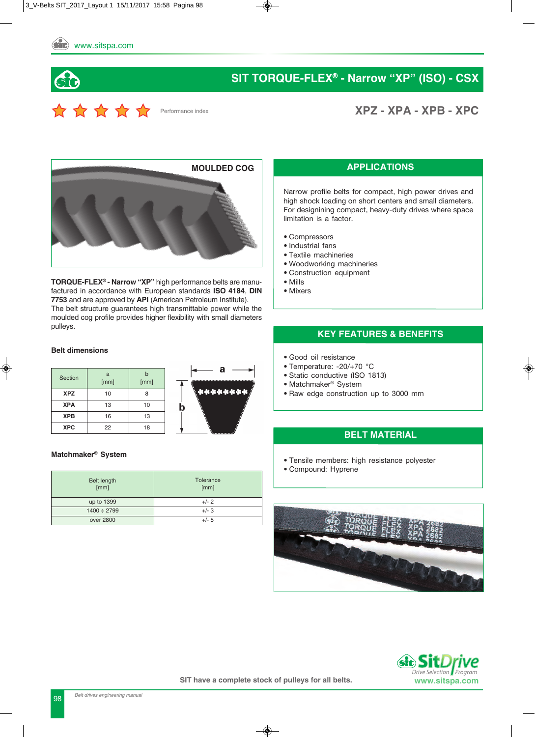



**XPZ - XPA - XPB - XPC**



**TORqUE-FLEX® - Narrow "XP"** high performance belts are manufactured in accordance with European standards **ISO 4184**, **DIN 7753** and are approved by **API** (American Petroleum Institute). The belt structure guarantees high transmittable power while the moulded cog profile provides higher flexibility with small diameters pulleys.

#### **Belt dimensions**

| Section    | a<br>[mm] | h<br>[mm] |  |  |  |
|------------|-----------|-----------|--|--|--|
| <b>XPZ</b> | 10        | 8         |  |  |  |
| <b>XPA</b> | 13        | 10        |  |  |  |
| <b>XPB</b> | 16        | 13        |  |  |  |
| <b>XPC</b> | 22        | 18        |  |  |  |



#### **Matchmaker® System**

| Belt length<br>[mm] | Tolerance<br>[mm] |
|---------------------|-------------------|
| up to 1399          | $+/- 2$           |
| $1400 \div 2799$    | $+/- 3$           |
| over 2800           | $+/- 5$           |

#### **APPLICATIONS**

Narrow profile belts for compact, high power drives and high shock loading on short centers and small diameters. For designining compact, heavy-duty drives where space limitation is a factor.

- Compressors
- Industrial fans
- Textile machineries
- Woodworking machineries
- Construction equipment
- Mills
- Mixers

#### **KEY FEATURES & BENEFITS**

- Good oil resistance
- Temperature: -20/+70 °C
- Static conductive (ISO 1813)
- Matchmaker® System
- Raw edge construction up to 3000 mm

#### **BELT MATERIAL**

- Tensile members: high resistance polyester
- Compound: Hyprene



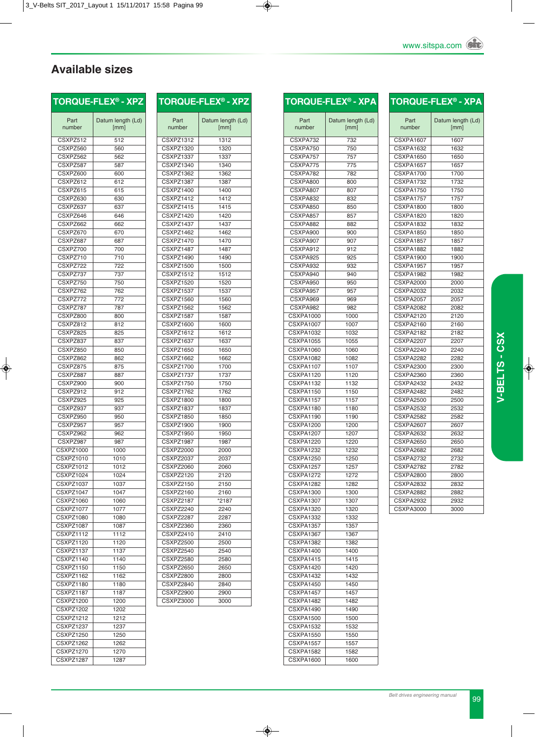### **Available sizes**

| TORQUE-FLEX <sup>®</sup> - > |                      |
|------------------------------|----------------------|
| Part<br>number               | Datum length<br>[mm] |

CSXPZ512 512 CSXPZ560 560 CSXPZ562 562 CSXPZ587 587 CSXPZ600 600 CSXPZ612 612 CSXPZ615 615 CSXPZ630 630 CSXPZ637 637 CSXPZ646 646 CSXPZ662 662 CSXPZ670 670 CSXPZ687 687 CSXPZ700 700 CSXPZ710 710 CSXPZ722 722 CSXPZ737 737 CSXPZ750 750 CSXPZ762 762 CSXPZ772 772 CSXPZ787 787 CSXPZ800 800 CSXPZ812 812 CSXPZ825 825<br>CSXPZ837 837

 $C$ SXPZ837

CSXPZ850 850 CSXPZ862 862 CSXPZ875 875 CSXPZ887 887 CSXPZ900 900 CSXPZ912 912 CSXPZ925 925 CSXPZ937 937 CSXPZ950 950 CSXPZ957 957 CSXPZ962 962 CSXPZ987 987 CSXPZ1000 1000 CSXPZ1010 1010 CSXPZ1012 1012 CSXPZ1024 1024 CSXPZ1037 1037 CSXPZ1047 1047 CSXPZ1060 1060 CSXPZ1077 1077 CSXPZ1080 1080 CSXPZ1087 1087 CSXPZ1112 1112 CSXPZ1120 1120 CSXPZ1137 1137 CSXPZ1140 1140 CSXPZ1150 1150 CSXPZ1162 1162 CSXPZ1180 1180 CSXPZ1187 1187 CSXPZ1200 1200 CSXPZ1202 1202 CSXPZ1212 1212 CSXPZ1237 1237 CSXPZ1250 1250 CSXPZ1262 1262 CSXPZ1270 1270 CSXPZ1287 1287

**TORqUE-FLEX® - XPZ**

 $(Ld)$ 

|                               | TORQUE-FLEX® - XPZ |
|-------------------------------|--------------------|
| Part                          | Datum length (Ld)  |
| number                        | [mm]               |
|                               |                    |
| CSXPZ1312                     | 1312               |
| CSXPZ1320                     | 1320               |
| <b>CSXPZ1337</b>              | 1337               |
| CSXPZ1340                     | 1340               |
| CSXPZ1362                     | 1362               |
| CSXPZ1387                     | 1387               |
| CSXPZ1400                     | 1400               |
| CSXPZ1412                     | 1412               |
| CSXPZ1415                     | 1415               |
| CSXPZ1420                     | 1420               |
| CSXPZ1437                     | 1437               |
| CSXPZ1462                     | 1462               |
| CSXPZ1470                     | 1470               |
| CSXPZ1487                     | 1487               |
| CSXPZ1490                     | 1490               |
| <b>CSXPZ1500</b>              | 1500               |
| CSXPZ1512                     | 1512               |
| <b>CSXPZ1520</b>              | 1520               |
| <b>CSXPZ1537</b>              |                    |
|                               | 1537               |
| <b>CSXPZ1560</b><br>CSXPZ1562 | 1560<br>1562       |
|                               |                    |
| CSXPZ1587                     | 1587               |
| <b>CSXPZ1600</b>              | 1600               |
| CSXPZ1612                     | 1612               |
| <b>CSXPZ1637</b>              | 1637               |
| <b>CSXPZ1650</b>              | 1650               |
| CSXPZ1662                     | 1662               |
| CSXPZ1700                     | 1700               |
| CSXPZ1737                     | 1737               |
| CSXPZ1750                     | 1750               |
| CSXPZ1762                     | 1762               |
| CSXPZ1800                     | 1800               |
| CSXPZ1837                     | 1837               |
| <b>CSXPZ1850</b>              | 1850               |
| CSXPZ1900                     | 1900               |
| <b>CSXPZ1950</b>              | 1950               |
| CSXPZ1987                     | 1987               |
| CSXPZ2000                     | 2000               |
| CSXPZ2037                     | 2037               |
|                               |                    |
| CSXPZ2060                     | 2060               |
| <b>CSXPZ2120</b>              | 2120               |
| <b>CSXPZ2150</b>              | 2150               |
| CSXPZ2160                     | 2160               |
| CSXPZ2187                     | *2187              |
| CSXPZ2240                     | 2240               |
| CSXPZ2287                     | 2287               |
| CSXPZ2360                     | 2360               |
| CSXPZ2410                     | 2410               |
| <b>CSXPZ2500</b>              | 2500               |
| CSXPZ2540                     | 2540               |
| <b>CSXPZ2580</b>              | 2580               |
| CSXPZ2650                     | 2650               |
| <b>CSXPZ2800</b>              | 2800               |
| CSXPZ2840                     | 2840               |
|                               |                    |
|                               | 2900               |
| CSXPZ2900<br>CSXPZ3000        | 3000               |

|                               | <b>TORQUE-FLEX® - XPA</b> |
|-------------------------------|---------------------------|
|                               |                           |
| Part<br>number                | Datum length (Ld)<br>[mm] |
| CSXPA732                      | 732                       |
| CSXPA750                      | 750                       |
| CSXPA757                      | 757                       |
| CSXPA775                      | 775                       |
| CSXPA782                      | 782                       |
| CSXPA800                      | 800                       |
| CSXPA807                      | 807                       |
| CSXPA832                      | 832                       |
| CSXPA850                      | 850                       |
| CSXPA857                      | 857                       |
| CSXPA882<br>CSXPA900          | 882<br>900                |
| CSXPA907                      | 907                       |
| <b>CSXPA912</b>               | 912                       |
| CSXPA925                      | 925                       |
| CSXPA932                      | 932                       |
| CSXPA940                      | 940                       |
| CSXPA950                      | 950                       |
| CSXPA957                      | 957                       |
| CSXPA969                      | 969                       |
| CSXPA982                      | 982                       |
| <b>CSXPA1000</b>              | 1000                      |
| <b>CSXPA1007</b>              | 1007                      |
| <b>CSXPA1032</b>              | 1032                      |
| <b>CSXPA1055</b>              | 1055                      |
| <b>CSXPA1060</b>              | 1060                      |
| CSXPA1082                     | 1082                      |
| <b>CSXPA1107</b><br>CSXPA1120 | 1107<br>1120              |
| <b>CSXPA1132</b>              | 1132                      |
| <b>CSXPA1150</b>              | 1150                      |
| CSXPA1157                     | 1157                      |
| CSXPA1180                     | 1180                      |
| <b>CSXPA1190</b>              | 1190                      |
| <b>CSXPA1200</b>              | 1200                      |
| <b>CSXPA1207</b>              | 1207                      |
| CSXPA1220                     | 1220                      |
| <b>CSXPA1232</b>              | 1232                      |
| <b>CSXPA1250</b>              | 1250                      |
| CSXPA1257                     | 1257                      |
| <b>CSXPA1272</b>              | 1272                      |
| CSXPA1282                     | 1282                      |
| <b>CSXPA1300</b>              | 1300                      |
| CSXPA1307<br>CSXPA1320        | 1307<br>1320              |
| CSXPA1332                     | 1332                      |
| <b>CSXPA1357</b>              | 1357                      |
| CSXPA1367                     | 1367                      |
| CSXPA1382                     | 1382                      |
| CSXPA1400                     | 1400                      |
| CSXPA1415                     | 1415                      |
| CSXPA1420                     | 1420                      |
| CSXPA1432                     | 1432                      |
| CSXPA1450                     | 1450                      |
| CSXPA1457                     | 1457                      |
| CSXPA1482                     | 1482                      |
| CSXPA1490                     | 1490                      |
| CSXPA1500                     | 1500                      |
| <b>CSXPA1532</b>              | 1532                      |
| <b>CSXPA1550</b>              | 1550                      |
| CSXPA1557<br>CSXPA1582        | 1557                      |
| <b>CSXPA1600</b>              | 1582<br>1600              |
|                               |                           |

|                  | $\mathsf{TORQUE\text{-}FLEX}^\circ$ - <code>XPA</code> |
|------------------|--------------------------------------------------------|
|                  |                                                        |
| Part<br>number   | Datum length (Ld)<br>[mm]                              |
| CSXPA1607        | 1607                                                   |
| <b>CSXPA1632</b> | 1632                                                   |
| <b>CSXPA1650</b> | 1650                                                   |
| <b>CSXPA1657</b> | 1657                                                   |
| CSXPA1700        | 1700                                                   |
| <b>CSXPA1732</b> | 1732                                                   |
| CSXPA1750        | 1750                                                   |
| CSXPA1757        | 1757                                                   |
| CSXPA1800        | 1800                                                   |
| CSXPA1820        | 1820                                                   |
| <b>CSXPA1832</b> | 1832                                                   |
| <b>CSXPA1850</b> | 1850                                                   |
| <b>CSXPA1857</b> | 1857                                                   |
| CSXPA1882        | 1882                                                   |
| CSXPA1900        | 1900                                                   |
| CSXPA1957        | 1957                                                   |
| CSXPA1982        | 1982                                                   |
| <b>CSXPA2000</b> | 2000                                                   |
| <b>CSXPA2032</b> | 2032                                                   |
| <b>CSXPA2057</b> | 2057                                                   |
| <b>CSXPA2082</b> | 2082                                                   |
| <b>CSXPA2120</b> | 2120                                                   |
| <b>CSXPA2160</b> | 2160                                                   |
| <b>CSXPA2182</b> | 2182                                                   |
| <b>CSXPA2207</b> | 2207                                                   |
| <b>CSXPA2240</b> | 2240                                                   |
| <b>CSXPA2282</b> | 2282                                                   |
| <b>CSXPA2300</b> | 2300                                                   |
| <b>CSXPA2360</b> | 2360                                                   |
| CSXPA2432        | 2432                                                   |
| CSXPA2482        | 2482                                                   |
| <b>CSXPA2500</b> | 2500                                                   |
| <b>CSXPA2532</b> | 2532                                                   |
| CSXPA2582        | 2582                                                   |
| <b>CSXPA2607</b> | 2607                                                   |
| <b>CSXPA2632</b> | 2632                                                   |
| <b>CSXPA2650</b> | 2650                                                   |
| <b>CSXPA2682</b> | 2682                                                   |
| <b>CSXPA2732</b> | 2732                                                   |
| <b>CSXPA2782</b> | 2782                                                   |
| <b>CSXPA2800</b> | 2800                                                   |
| <b>CSXPA2832</b> | 2832                                                   |
| <b>CSXPA2882</b> | 2882                                                   |
| <b>CSXPA2932</b> | 2932                                                   |
| <b>CSXPA3000</b> | 3000                                                   |
|                  |                                                        |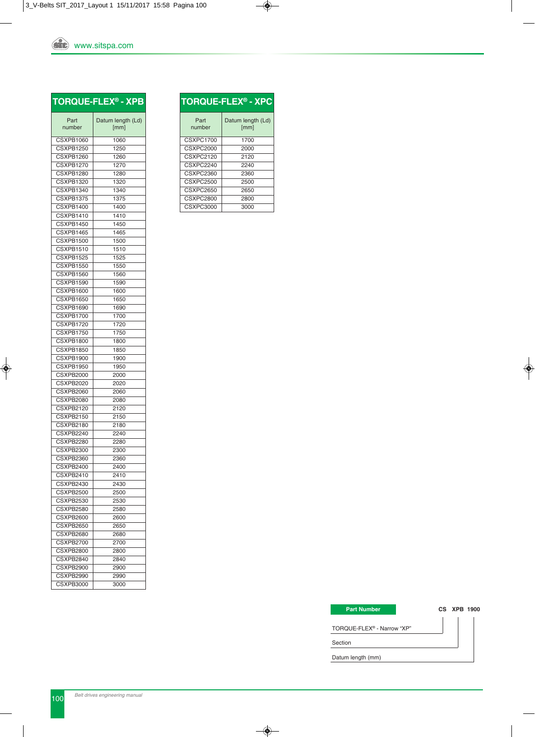### **TORqUE-FLEX® - XPB**

| Part<br>number         | Datum length (Ld)<br>[mm] |
|------------------------|---------------------------|
|                        |                           |
| CSXPB1060              | 1060                      |
| CSXPB1250              | 1250                      |
| CSXPB1260              | 1260                      |
| CSXPB1270              | 1270                      |
| CSXPB1280              | 1280                      |
| CSXPB1320              | 1320                      |
| CSXPB1340              | 1340                      |
| CSXPB1375              | 1375                      |
| CSXPB1400              | 1400                      |
| CSXPB1410              | 1410                      |
| CSXPB1450              | 1450                      |
| CSXPB1465              | 1465                      |
| CSXPB1500              | 1500                      |
| CSXPB1510              | 1510                      |
| CSXPB1525              | 1525                      |
| CSXPB1550              | 1550                      |
| CSXPB1560              | 1560                      |
| CSXPB1590              | 1590                      |
| CSXPB1600              | 1600                      |
| CSXPB1650              | 1650                      |
| CSXPB1690              | 1690                      |
| CSXPB1700              | 1700                      |
| CSXPB1720              | 1720                      |
|                        |                           |
| CSXPB1750<br>CSXPB1800 | 1750<br>1800              |
|                        |                           |
| CSXPB1850              | 1850                      |
| CSXPB1900              | 1900                      |
| CSXPB1950              | 1950                      |
| CSXPB2000              | 2000                      |
| CSXPB2020              | 2020                      |
| CSXPB2060              | 2060                      |
| CSXPB2080              | 2080                      |
| CSXPB2120              | 2120                      |
| <b>CSXPB2150</b>       | 2150                      |
| CSXPB2180              | 2180                      |
| CSXPB2240              | 2240                      |
| CSXPB2280              | 2280                      |
| <b>CSXPB2300</b>       | 2300                      |
| CSXPB2360              | 2360                      |
| CSXPB2400              | 2400                      |
| CSXPB2410              | 2410                      |
| CSXPB2430              | 2430                      |
| CSXPB2500              | 2500                      |
| CSXPB2530              | 2530                      |
| CSXPB2580              | 2580                      |
| CSXPB2600              | 2600                      |
| CSXPB2650              | 2650                      |
| CSXPB2680              | 2680                      |
| CSXPB2700              | 2700                      |
| CSXPB2800              | 2800                      |
| CSXPB2840              | 2840                      |
| CSXPB2900              | 2900                      |
| CSXPB2990              | 2990                      |
| <b>CSXPB3000</b>       | 3000                      |

| <b>TORQUE-FLEX<sup>®</sup> - XPC</b> |                           |  |  |  |  |  |  |  |  |  |
|--------------------------------------|---------------------------|--|--|--|--|--|--|--|--|--|
| Part<br>number                       | Datum length (Ld)<br>[mm] |  |  |  |  |  |  |  |  |  |
| CSXPC1700                            | 1700                      |  |  |  |  |  |  |  |  |  |
| CSXPC2000                            | 2000                      |  |  |  |  |  |  |  |  |  |
| CSXPC2120                            | 2120                      |  |  |  |  |  |  |  |  |  |
| CSXPC2240                            | 2240                      |  |  |  |  |  |  |  |  |  |
| CSXPC2360                            | 2360                      |  |  |  |  |  |  |  |  |  |
| CSXPC2500                            | 2500                      |  |  |  |  |  |  |  |  |  |
| CSXPC2650                            | 2650                      |  |  |  |  |  |  |  |  |  |
| CSXPC2800                            | 2800                      |  |  |  |  |  |  |  |  |  |
| CSXPC3000                            | 3000                      |  |  |  |  |  |  |  |  |  |

#### **Part Number**

TORQUE-FLEX® - Narrow "XP"

**CS XPB 1900**

Section

Datum length (mm)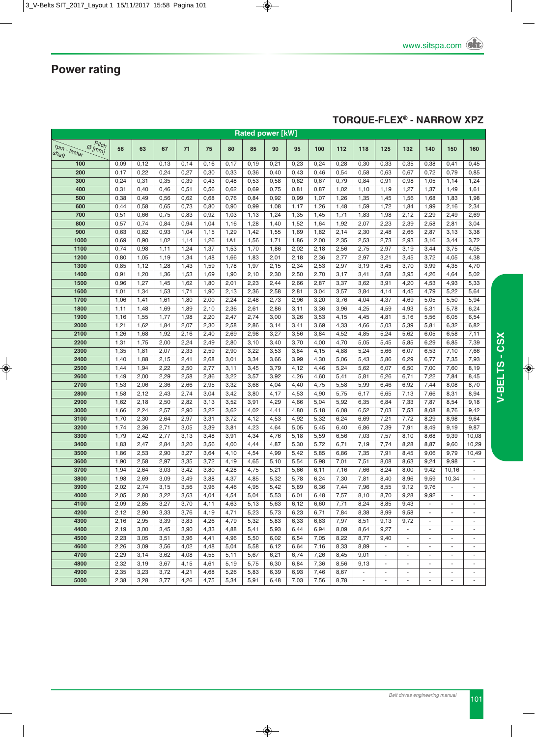### **TORqUE-FLEX® - NARROW XPZ**

| <b>Rated power [kW]</b>                               |      |      |       |      |      |      |      |      |      |      |      |                          |                          |                          |                          |                          |                          |
|-------------------------------------------------------|------|------|-------|------|------|------|------|------|------|------|------|--------------------------|--------------------------|--------------------------|--------------------------|--------------------------|--------------------------|
| $\sigma_{lmmJ}^{Pitch}$<br>$r_{Pm}$ - faster<br>shaft | 56   | 63   | 67    | 71   | 75   | 80   | 85   | 90   | 95   | 100  | 112  | 118                      | 125                      | 132                      | 140                      | 150                      | 160                      |
| 100                                                   | 0,09 | 0,12 | 0,13  | 0,14 | 0,16 | 0,17 | 0,19 | 0,21 | 0,23 | 0,24 | 0,28 | 0,30                     | 0,33                     | 0,35                     | 0,38                     | 0,41                     | 0,45                     |
| 200                                                   | 0,17 | 0,22 | 0,24  | 0,27 | 0,30 | 0,33 | 0,36 | 0,40 | 0,43 | 0,46 | 0,54 | 0,58                     | 0,63                     | 0,67                     | 0,72                     | 0,79                     | 0,85                     |
| 300                                                   | 0,24 | 0,31 | 0,35  | 0,39 | 0,43 | 0,48 | 0,53 | 0,58 | 0,62 | 0,67 | 0,79 | 0,84                     | 0,91                     | 0,98                     | 1,05                     | 1,14                     | 1,24                     |
| 400                                                   | 0,31 | 0,40 | 0,46  | 0,51 | 0,56 | 0,62 | 0,69 | 0,75 | 0,81 | 0,87 | 1,02 | 1,10                     | 1,19                     | 1,27                     | 1,37                     | 1,49                     | 1,61                     |
| 500                                                   | 0,38 | 0,49 | 0,56  | 0,62 | 0,68 | 0,76 | 0,84 | 0,92 | 0,99 | 1,07 | 1,26 | 1,35                     | 1,45                     | 1,56                     | 1,68                     | 1,83                     | 1,98                     |
| 600                                                   | 0,44 | 0,58 | 0,65  | 0,73 | 0,80 | 0,90 | 0,99 | 1,08 | 1,17 | 1,26 | 1,48 | 1,59                     | 1,72                     | 1,84                     | 1,99                     | 2,16                     | 2,34                     |
| 700                                                   | 0,51 | 0,66 | 0,75  | 0,83 | 0,92 | 1,03 | 1,13 | 1,24 | 1,35 | 1,45 | 1,71 | 1,83                     | 1,98                     | 2,12                     | 2,29                     | 2,49                     | 2,69                     |
| 800                                                   | 0,57 | 0,74 | 0,84  | 0,94 | 1,04 | 1,16 | 1,28 | 1,40 | 1,52 | 1,64 | 1,92 | 2,07                     | 2,23                     | 2,39                     | 2,58                     | 2,81                     | 3,04                     |
| 900                                                   | 0,63 | 0,82 | 0,93  | 1,04 | 1,15 | 1,29 | 1,42 | 1,55 | 1,69 | 1,82 | 2,14 | 2,30                     | 2,48                     | 2,66                     | 2,87                     | 3,13                     | 3,38                     |
| 1000                                                  | 0,69 | 0,90 | 1,02  | 1,14 | 1,26 | 1A1  | 1,56 | 1,71 | 1,86 | 2,00 | 2,35 | 2,53                     | 2,73                     | 2,93                     | 3,16                     | 3,44                     | 3,72                     |
| 1100                                                  | 0,74 | 0,98 | 1, 11 | 1,24 | 1,37 | 1,53 | 1,70 | 1,86 | 2,02 | 2,18 | 2,56 | 2,75                     | 2,97                     | 3,19                     | 3,44                     | 3,75                     | 4,05                     |
| 1200                                                  | 0,80 | 1,05 | 1,19  | 1,34 | 1,48 | 1,66 | 1,83 | 2,01 | 2,18 | 2,36 | 2,77 | 2,97                     | 3,21                     | 3,45                     | 3,72                     | 4,05                     | 4,38                     |
| 1300                                                  | 0,85 | 1,12 | 1,28  | 1,43 | 1,59 | 1,78 | 1,97 | 2,15 | 2,34 | 2,53 | 2,97 | 3,19                     | 3,45                     | 3,70                     | 3,99                     | 4,35                     | 4,70                     |
| 1400                                                  | 0,91 | 1,20 | 1,36  | 1,53 | 1,69 | 1,90 | 2,10 | 2,30 | 2,50 | 2,70 | 3,17 | 3,41                     | 3,68                     | 3,95                     | 4,26                     | 4,64                     | 5,02                     |
| 1500                                                  | 0,96 | 1,27 | 1,45  | 1,62 | 1,80 | 2,01 | 2,23 | 2,44 | 2,66 | 2,87 | 3,37 | 3,62                     | 3,91                     | 4,20                     | 4,53                     | 4,93                     | 5,33                     |
| 1600                                                  | 1,01 | 1,34 | 1,53  | 1,71 | 1,90 | 2,13 | 2,36 | 2,58 | 2,81 | 3,04 | 3,57 | 3,84                     | 4,14                     | 4,45                     | 4,79                     | 5,22                     | 5,64                     |
| 1700                                                  | 1,06 | 1,41 | 1,61  | 1,80 | 2,00 | 2,24 | 2,48 | 2,73 | 2,96 | 3,20 | 3,76 | 4,04                     | 4,37                     | 4,69                     | 5,05                     | 5,50                     | 5,94                     |
| 1800                                                  | 1,11 | 1,48 | 1,69  | 1,89 | 2,10 | 2,36 | 2,61 | 2,86 | 3,11 | 3,36 | 3,96 | 4,25                     | 4,59                     | 4,93                     | 5,31                     | 5,78                     | 6,24                     |
| 1900                                                  | 1,16 | 1,55 | 1,77  | 1,98 | 2,20 | 2,47 | 2,74 | 3,00 | 3,26 | 3,53 | 4,15 | 4,45                     | 4,81                     | 5,16                     | 5,56                     | 6,05                     | 6,54                     |
| 2000                                                  | 1,21 | 1,62 | 1,84  | 2,07 | 2,30 | 2,58 | 2,86 | 3,14 | 3,41 | 3,69 | 4,33 | 4,66                     | 5,03                     | 5,39                     | 5,81                     | 6,32                     | 6,82                     |
| 2100                                                  | 1,26 | 1,68 | 1,92  | 2,16 | 2,40 | 2,69 | 2,98 | 3,27 | 3,56 | 3,84 | 4,52 | 4,85                     | 5,24                     | 5,62                     | 6,05                     | 6,58                     | 7,11                     |
| 2200                                                  | 1,31 | 1,75 | 2,00  | 2,24 | 2,49 | 2,80 | 3,10 | 3,40 | 3,70 | 4,00 | 4,70 | 5,05                     | 5,45                     | 5,85                     | 6,29                     | 6,85                     | 7,39                     |
| 2300                                                  | 1,35 | 1,81 | 2,07  | 2,33 | 2,59 | 2,90 | 3,22 | 3,53 | 3,84 | 4,15 | 4,88 | 5,24                     | 5,66                     | 6,07                     | 6,53                     | 7,10                     | 7,66                     |
| 2400                                                  | 1,40 | 1,88 | 2,15  | 2,41 | 2,68 | 3,01 | 3,34 | 3,66 | 3,99 | 4,30 | 5,06 | 5,43                     | 5,86                     | 6,29                     | 6,77                     | 7,35                     | 7,93                     |
| 2500                                                  | 1,44 | 1,94 | 2,22  | 2,50 | 2,77 | 3,11 | 3,45 | 3,79 | 4,12 | 4,46 | 5,24 | 5,62                     | 6,07                     | 6,50                     | 7,00                     | 7,60                     | 8,19                     |
| 2600                                                  | 1,49 | 2,00 | 2,29  | 2,58 | 2,86 | 3,22 | 3,57 | 3,92 | 4,26 | 4,60 | 5,41 | 5,81                     | 6,26                     | 6,71                     | 7,22                     | 7,84                     | 8,45                     |
| 2700                                                  | 1,53 | 2,06 | 2,36  | 2,66 | 2,95 | 3,32 | 3,68 | 4,04 | 4,40 | 4,75 | 5,58 | 5,99                     | 6,46                     | 6,92                     | 7,44                     | 8,08                     | 8,70                     |
| 2800                                                  | 1,58 | 2,12 | 2,43  | 2,74 | 3,04 | 3,42 | 3,80 | 4,17 | 4,53 | 4,90 | 5,75 | 6,17                     | 6,65                     | 7,13                     | 7,66                     | 8,31                     | 8,94                     |
| 2900                                                  | 1,62 | 2,18 | 2,50  | 2,82 | 3,13 | 3,52 | 3,91 | 4,29 | 4,66 | 5,04 | 5,92 | 6,35                     | 6,84                     | 7,33                     | 7,87                     | 8,54                     | 9,18                     |
| 3000                                                  | 1,66 | 2,24 | 2,57  | 2,90 | 3,22 | 3,62 | 4,02 | 4,41 | 4,80 | 5,18 | 6,08 | 6,52                     | 7,03                     | 7,53                     | 8,08                     | 8,76                     | 9,42                     |
| 3100                                                  | 1,70 | 2,30 | 2,64  | 2,97 | 3,31 | 3,72 | 4,12 | 4,53 | 4,92 | 5,32 | 6,24 | 6,69                     | 7,21                     | 7,72                     | 8,29                     | 8,98                     | 9,64                     |
| 3200                                                  | 1,74 | 2,36 | 2,71  | 3,05 | 3,39 | 3,81 | 4,23 | 4,64 | 5,05 | 5,45 | 6,40 | 6,86                     | 7,39                     | 7,91                     | 8,49                     | 9,19                     | 9,87                     |
| 3300                                                  | 1,79 | 2,42 | 2,77  | 3,13 | 3,48 | 3,91 | 4,34 | 4,76 | 5,18 | 5,59 | 6,56 | 7,03                     | 7,57                     | 8,10                     | 8,68                     | 9,39                     | 10,08                    |
| 3400                                                  | 1,83 | 2,47 | 2,84  | 3,20 | 3,56 | 4,00 | 4,44 | 4,87 | 5,30 | 5,72 | 6,71 | 7,19                     | 7,74                     | 8,28                     | 8,87                     | 9,60                     | 10,29                    |
| 3500                                                  | 1,86 | 2,53 | 2,90  | 3,27 | 3,64 | 4,10 | 4,54 | 4,99 | 5,42 | 5,85 | 6,86 | 7,35                     | 7,91                     | 8,45                     | 9,06                     | 9,79                     | 10,49                    |
| 3600                                                  | 1,90 | 2,58 | 2,97  | 3,35 | 3,72 | 4,19 | 4,65 | 5,10 | 5,54 | 5,98 | 7,01 | 7,51                     | 8,08                     | 8,63                     | 9,24                     | 9,98                     | ä,                       |
| 3700                                                  | 1,94 | 2,64 | 3,03  | 3,42 | 3,80 | 4,28 | 4,75 | 5,21 | 5,66 | 6,11 | 7,16 | 7,66                     | 8,24                     | 8,00                     | 9,42                     | 10,16                    | $\frac{1}{2}$            |
| 3800                                                  | 1,98 | 2,69 | 3,09  | 3,49 | 3,88 | 4,37 | 4,85 | 5,32 | 5,78 | 6,24 | 7,30 | 7,81                     | 8,40                     | 8,96                     | 9,59                     | 10,34                    | ÷,                       |
| 3900                                                  | 2,02 | 2,74 | 3,15  | 3,56 | 3,96 | 4,46 | 4,95 | 5,42 | 5,89 | 6,36 | 7,44 | 7,96                     | 8,55                     | 9,12                     | 9,76                     |                          | ÷,                       |
| 4000                                                  | 2,05 | 2,80 | 3,22  | 3,63 | 4,04 | 4,54 | 5,04 | 5,53 | 6,01 | 6,48 | 7,57 | 8,10                     | 8,70                     | 9,28                     | 9,92                     |                          |                          |
| 4100                                                  | 2,09 | 2,85 | 3,27  | 3,70 | 4,11 | 4,63 | 5,13 | 5,63 | 6,12 | 6,60 | 7,71 | 8,24                     | 8,85                     | 9,43                     | $\overline{\phantom{a}}$ | ٠                        | $\overline{\phantom{a}}$ |
| 4200                                                  | 2,12 | 2,90 | 3,33  | 3,76 | 4,19 | 4,71 | 5,23 | 5,73 | 6,23 | 6,71 | 7,84 | 8,38                     | 8,99                     | 9,58                     | $\blacksquare$           | ٠                        | $\overline{\phantom{a}}$ |
| 4300                                                  | 2,16 | 2,95 | 3,39  | 3,83 | 4,26 | 4,79 | 5,32 | 5,83 | 6,33 | 6,83 | 7,97 | 8,51                     | 9,13                     | 9,72                     | $\overline{\phantom{a}}$ | $\overline{\phantom{a}}$ | $\overline{\phantom{a}}$ |
| 4400                                                  | 2,19 | 3,00 | 3,45  | 3,90 | 4,33 | 4,88 | 5,41 | 5,93 | 6,44 | 6,94 | 8,09 | 8,64                     | 9,27                     | $\blacksquare$           | $\overline{\phantom{a}}$ | $\overline{\phantom{a}}$ | $\overline{\phantom{a}}$ |
| 4500                                                  | 2,23 | 3,05 | 3,51  | 3,96 | 4,41 | 4,96 | 5,50 | 6,02 | 6,54 | 7,05 | 8,22 | 8,77                     | 9,40                     | $\overline{\phantom{a}}$ | $\overline{\phantom{a}}$ | $\frac{1}{2}$            | $\overline{\phantom{a}}$ |
| 4600                                                  | 2,26 | 3,09 | 3,56  | 4,02 | 4,48 | 5,04 | 5,58 | 6,12 | 6,64 | 7,16 | 8,33 | 8,89                     | $\overline{\phantom{a}}$ | $\overline{\phantom{a}}$ | $\overline{\phantom{a}}$ | $\overline{\phantom{a}}$ | $\overline{\phantom{m}}$ |
| 4700                                                  | 2,29 | 3,14 | 3,62  | 4,08 | 4,55 | 5,11 | 5,67 | 6,21 | 6,74 | 7,26 | 8,45 | 9,01                     | $\overline{\phantom{a}}$ | $\overline{\phantom{a}}$ | $\overline{\phantom{a}}$ | $\overline{\phantom{a}}$ | $\overline{\phantom{a}}$ |
| 4800                                                  | 2,32 | 3,19 | 3,67  | 4,15 | 4,61 | 5,19 | 5,75 | 6,30 | 6,84 | 7,36 | 8,56 | 9,13                     | $\overline{\phantom{a}}$ | $\overline{\phantom{a}}$ | $\overline{\phantom{a}}$ | $\overline{\phantom{a}}$ | $\overline{\phantom{a}}$ |
| 4900                                                  | 2,35 | 3,23 | 3,72  | 4,21 | 4,68 | 5,26 | 5,83 | 6,39 | 6,93 | 7,46 | 8,67 | $\blacksquare$           | $\overline{\phantom{a}}$ | $\overline{\phantom{a}}$ | $\overline{\phantom{a}}$ | $\overline{\phantom{a}}$ | $\overline{\phantom{a}}$ |
| 5000                                                  | 2,38 | 3,28 | 3,77  | 4,26 | 4,75 | 5,34 | 5,91 | 6,48 | 7,03 | 7,56 | 8,78 | $\overline{\phantom{a}}$ | $\overline{\phantom{a}}$ | $\overline{\phantom{a}}$ | $\overline{\phantom{a}}$ |                          |                          |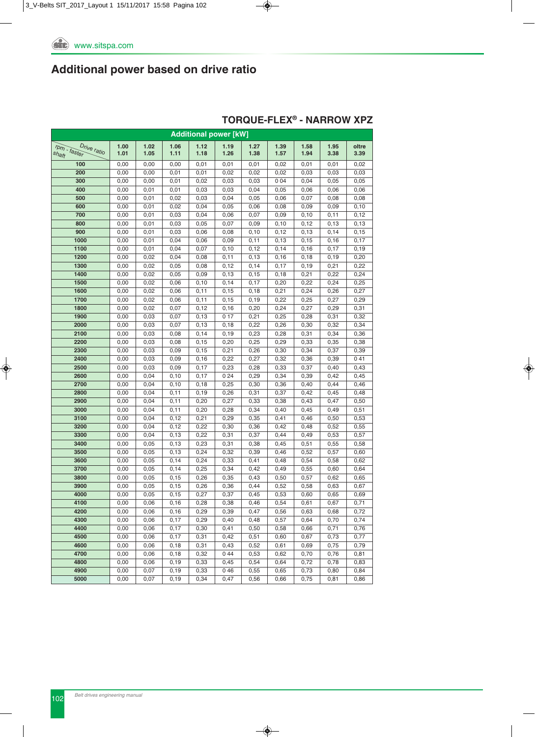| <b>Additional power [kW]</b>         |      |      |       |       |       |       |       |       |       |       |  |  |
|--------------------------------------|------|------|-------|-------|-------|-------|-------|-------|-------|-------|--|--|
|                                      | 1.00 | 1.02 | 1.06  | 1.12  | 1.19  | 1.27  | 1.39  | 1.58  | 1.95  | oltre |  |  |
| Drive ratio<br>rpm - faster<br>shaft | 1.01 | 1.05 | 1.11  | 1.18  | 1.26  | 1.38  | 1.57  | 1.94  | 3.38  | 3.39  |  |  |
| 100                                  | 0,00 | 0,00 | 0,00  | 0,01  | 0,01  | 0,01  | 0,02  | 0,01  | 0,01  | 0,02  |  |  |
| 200                                  | 0,00 | 0,00 | 0,01  | 0,01  | 0,02  | 0,02  | 0,02  | 0,03  | 0,03  | 0,03  |  |  |
| 300                                  | 0,00 | 0,00 | 0,01  | 0,02  | 0,03  | 0,03  | 0 0 4 | 0,04  | 0,05  | 0,05  |  |  |
| 400                                  | 0,00 | 0,01 | 0,01  | 0,03  | 0,03  | 0,04  | 0,05  | 0,06  | 0,06  | 0,06  |  |  |
| 500                                  | 0,00 | 0,01 | 0,02  | 0,03  | 0,04  | 0,05  | 0,06  | 0,07  | 0,08  | 0,08  |  |  |
| 600                                  | 0,00 | 0,01 | 0,02  | 0,04  | 0,05  | 0,06  | 0,08  | 0,09  | 0,09  | 0, 10 |  |  |
| 700                                  | 0,00 | 0,01 | 0,03  | 0,04  | 0,06  | 0,07  | 0,09  | 0, 10 | 0,11  | 0,12  |  |  |
| 800                                  | 0,00 | 0,01 | 0,03  | 0,05  | 0,07  | 0,09  | 0, 10 | 0,12  | 0,13  | 0,13  |  |  |
| 900                                  | 0,00 | 0,01 | 0,03  | 0,06  | 0,08  | 0, 10 | 0,12  | 0, 13 | 0,14  | 0, 15 |  |  |
| 1000                                 | 0,00 | 0,01 | 0,04  | 0,06  | 0,09  | 0,11  | 0, 13 | 0,15  | 0,16  | 0,17  |  |  |
| 1100                                 | 0,00 | 0,01 | 0,04  | 0,07  | 0,10  | 0,12  | 0,14  | 0, 16 | 0,17  | 0, 19 |  |  |
| 1200                                 | 0,00 | 0,02 | 0,04  | 0,08  | 0,11  | 0, 13 | 0, 16 | 0,18  | 0, 19 | 0,20  |  |  |
| 1300                                 | 0,00 | 0,02 | 0,05  | 0,08  | 0,12  | 0, 14 | 0,17  | 0,19  | 0,21  | 0,22  |  |  |
| 1400                                 | 0,00 | 0,02 | 0,05  | 0,09  | 0,13  | 0, 15 | 0,18  | 0,21  | 0,22  | 0,24  |  |  |
| 1500                                 | 0,00 | 0,02 | 0,06  | 0,10  | 0,14  | 0,17  | 0,20  | 0,22  | 0,24  | 0,25  |  |  |
| 1600                                 | 0,00 | 0,02 | 0,06  | 0,11  | 0,15  | 0, 18 | 0,21  | 0,24  | 0,26  | 0,27  |  |  |
| 1700                                 | 0,00 | 0,02 | 0,06  | 0,11  | 0,15  | 0, 19 | 0,22  | 0,25  | 0,27  | 0,29  |  |  |
| 1800                                 | 0,00 | 0,02 | 0,07  | 0,12  | 0, 16 | 0,20  | 0,24  | 0,27  | 0,29  | 0,31  |  |  |
| 1900                                 | 0,00 | 0,03 | 0,07  | 0, 13 | 0 17  | 0,21  | 0,25  | 0,28  | 0,31  | 0,32  |  |  |
| 2000                                 | 0,00 | 0,03 | 0,07  | 0,13  | 0,18  | 0,22  | 0,26  | 0,30  | 0,32  | 0,34  |  |  |
| 2100                                 | 0,00 | 0,03 | 0,08  | 0,14  | 0, 19 | 0,23  | 0,28  | 0,31  | 0,34  | 0,36  |  |  |
| 2200                                 | 0,00 | 0,03 | 0,08  | 0,15  | 0,20  | 0,25  | 0,29  | 0,33  | 0,35  | 0,38  |  |  |
| 2300                                 | 0,00 | 0,03 | 0,09  | 0, 15 | 0,21  | 0,26  | 0,30  | 0,34  | 0,37  | 0,39  |  |  |
| 2400                                 | 0,00 | 0,03 | 0,09  | 0, 16 | 0,22  | 0,27  | 0,32  | 0,36  | 0,39  | 041   |  |  |
| 2500                                 | 0,00 | 0,03 | 0,09  | 0,17  | 0,23  | 0,28  | 0,33  | 0,37  | 0,40  | 0,43  |  |  |
| 2600                                 | 0,00 | 0,04 | 0,10  | 0,17  | 024   | 0,29  | 0,34  | 0,39  | 0,42  | 0,45  |  |  |
| 2700                                 | 0,00 | 0,04 | 0, 10 | 0,18  | 0,25  | 0,30  | 0,36  | 0,40  | 0,44  | 0,46  |  |  |
| 2800                                 | 0,00 | 0,04 | 0,11  | 0, 19 | 0,26  | 0,31  | 0,37  | 0,42  | 0,45  | 0,48  |  |  |
| 2900                                 | 0,00 | 0,04 | 0,11  | 0,20  | 0,27  | 0,33  | 0,38  | 0,43  | 0,47  | 0,50  |  |  |
| 3000                                 | 0,00 | 0,04 | 0,11  | 0,20  | 0,28  | 0,34  | 0,40  | 0,45  | 0,49  | 0,51  |  |  |
| 3100                                 | 0,00 | 0,04 | 0,12  | 0,21  | 0,29  | 0,35  | 0,41  | 0,46  | 0,50  | 0,53  |  |  |
| 3200                                 | 0,00 | 0,04 | 0,12  | 0,22  | 0,30  | 0,36  | 0,42  | 0,48  | 0,52  | 0,55  |  |  |
| 3300                                 | 0,00 | 0,04 | 0,13  | 0,22  | 0,31  | 0,37  | 0,44  | 0,49  | 0,53  | 0,57  |  |  |
| 3400                                 | 0,00 | 0,05 | 0,13  | 0,23  | 0,31  | 0,38  | 0,45  | 0,51  | 0,55  | 0,58  |  |  |
| 3500                                 | 0,00 | 0,05 | 0,13  | 0,24  | 0,32  | 0,39  | 0,46  | 0,52  | 0,57  | 0,60  |  |  |
| 3600                                 | 0,00 | 0,05 | 0,14  | 0,24  | 0,33  | 0,41  | 0,48  | 0,54  | 0,58  | 0,62  |  |  |
| 3700                                 | 0,00 | 0,05 | 0,14  | 0,25  | 0,34  | 0,42  | 0,49  | 0,55  | 0,60  | 0,64  |  |  |
| 3800                                 | 0,00 | 0,05 | 0, 15 | 0,26  | 0,35  | 0,43  | 0,50  | 0,57  | 0,62  | 0,65  |  |  |
| 3900                                 | 0,00 | 0,05 | 0, 15 | 0,26  | 0,36  | 0,44  | 0,52  | 0,58  | 0,63  | 0,67  |  |  |
| 4000                                 | 0,00 | 0,05 | 0,15  | 0,27  | 0,37  | 0,45  | 0,53  | 0,60  | 0,65  | 0,69  |  |  |
| 4100                                 | 0,00 | 0,06 | 0, 16 | 0,28  | 0,38  | 0,46  | 0,54  | 0,61  | 0,67  | 0,71  |  |  |
| 4200                                 | 0,00 | 0,06 | 0, 16 | 0,29  | 0,39  | 0,47  | 0,56  | 0,63  | 0,68  | 0,72  |  |  |
| 4300                                 | 0,00 | 0,06 | 0,17  | 0,29  | 0,40  | 0,48  | 0,57  | 0,64  | 0,70  | 0,74  |  |  |
| 4400                                 | 0,00 | 0,06 | 0,17  | 0,30  | 0,41  | 0,50  | 0,58  | 0,66  | 0,71  | 0,76  |  |  |
| 4500                                 | 0,00 | 0,06 | 0,17  | 0,31  | 0,42  | 0,51  | 0,60  | 0,67  | 0,73  | 0,77  |  |  |
| 4600                                 | 0,00 | 0,06 | 0,18  | 0,31  | 0,43  | 0,52  | 0,61  | 0,69  | 0,75  | 0,79  |  |  |
| 4700                                 | 0,00 | 0,06 | 0,18  | 0,32  | 044   | 0,53  | 0,62  | 0,70  | 0,76  | 0,81  |  |  |
| 4800                                 | 0,00 | 0,06 | 0,19  | 0,33  | 0,45  | 0,54  | 0,64  | 0,72  | 0,78  | 0,83  |  |  |
| 4900                                 | 0,00 | 0,07 | 0,19  | 0,33  | 046   | 0,55  | 0,65  | 0,73  | 0,80  | 0,84  |  |  |
| 5000                                 | 0,00 | 0,07 | 0, 19 | 0,34  | 0,47  | 0,56  | 0,66  | 0,75  | 0,81  | 0,86  |  |  |

### **TORqUE-FLEX® - NARROW XPZ**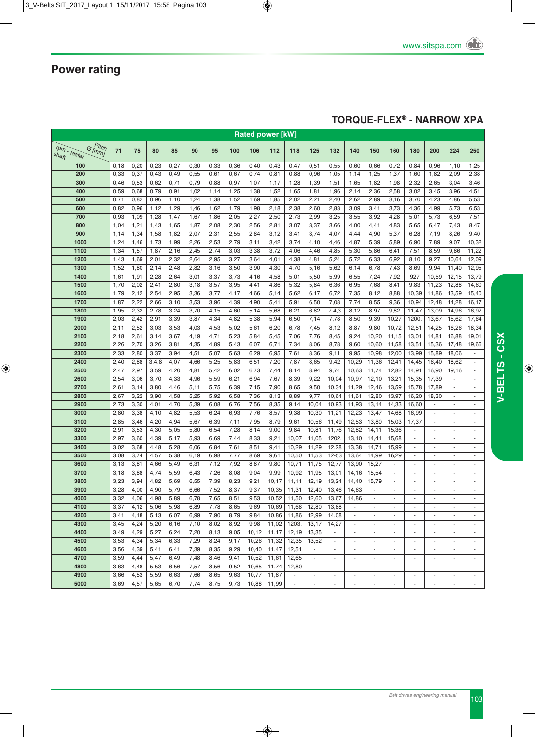### **TORqUE-FLEX® - NARROW XPA**

| <b>Rated power [kW]</b>                              |              |              |              |              |              |              |              |              |              |                 |                          |                                    |                                |                          |                                    |                                    |                                                      |                          |                                |
|------------------------------------------------------|--------------|--------------|--------------|--------------|--------------|--------------|--------------|--------------|--------------|-----------------|--------------------------|------------------------------------|--------------------------------|--------------------------|------------------------------------|------------------------------------|------------------------------------------------------|--------------------------|--------------------------------|
| <i><b>Ditch</b></i><br>[mm]<br>rpm - faster<br>shaft | 71           | 75           | 80           | 85           | 90           | 95           | 100          | 106          | 112          | 118             | 125                      | 132                                | 140                            | 150                      | 160                                | 180                                | 200                                                  | 224                      | 250                            |
| 100                                                  | 0,18         | 0,20         | 0,23         | 0,27         | 0,30         | 0,33         | 0,36         | 0,40         | 0,43         | 0,47            | 0,51                     | 0,55                               | 0,60                           | 0,66                     | 0,72                               | 0,84                               | 0,96                                                 | 1,10                     | 1,25                           |
| 200                                                  | 0,33         | 0,37         | 0,43         | 0,49         | 0,55         | 0,61         | 0,67         | 0,74         | 0,81         | 0,88            | 0,96                     | 1,05                               | 1,14                           | 1,25                     | 1,37                               | 1,60                               | 1,82                                                 | 2,09                     | 2,38                           |
| 300                                                  | 0,46         | 0,53         | 0,62         | 0,71         | 0,79         | 0,88         | 0,97         | 1,07         | 1,17         | 1,28            | 1,39                     | 1,51                               | 1,65                           | 1,82                     | 1,98                               | 2,32                               | 2,65                                                 | 3,04                     | 3,46                           |
| 400                                                  | 0,59         | 0,68         | 0,79         | 0,91         | 1,02         | 1,14         | 1,25         | 1,38         | 1,52         | 1,65            | 1,81                     | 1,96                               | 2,14                           | 2,36                     | 2,58                               | 3,02                               | 3,45                                                 | 3,96                     | 4,51                           |
| 500                                                  | 0,71         | 0,82         | 0,96         | 1,10         | 1,24         | 1,38         | 1,52         | 1,69         | 1,85         | 2,02            | 2,21                     | 2,40                               | 2,62                           | 2,89                     | 3,16                               | 3,70                               | 4,23                                                 | 4,86                     | 5,53                           |
| 600                                                  | 0,82         | 0,96         | 1,12         | 1,29         | 1,46         | 1,62         | 1,79         | 1,98         | 2,18         | 2,38            | 2,60                     | 2,83                               | 3,09                           | 3,41                     | 3,73                               | 4,36                               | 4,99                                                 | 5,73                     | 6,53                           |
| 700                                                  | 0,93         | 1,09         | 1,28         | 1,47         | 1,67         | 1,86         | 2,05         | 2,27         | 2,50         | 2,73            | 2,99                     | 3,25                               | 3,55                           | 3,92                     | 4,28                               | 5,01                               | 5,73                                                 | 6,59                     | 7,51                           |
| 800                                                  | 1,04         | 1,21         | 1,43         | 1,65         | 1,87         | 2,08         | 2,30         | 2,56         | 2,81         | 3,07            | 3,37                     | 3,66                               | 4,00                           | 4,41                     | 4,83                               | 5,65                               | 6,47                                                 | 7,43                     | 8,47                           |
| 900                                                  | 1,14         | 1,34         | 1,58         | 1,82         | 2,07         | 2,31         | 2,55         | 2,84         | 3,12         | 3,41            | 3,74                     | 4,07                               | 4,44                           | 4,90                     | 5,37                               | 6,28                               | 7,19                                                 | 8,26                     | 9,40                           |
| 1000                                                 | 1,24         | 1,46         | 1,73         | 1,99         | 2,26         | 2,53         | 2,79         | 3,11         | 3,42         | 3,74            | 4,10                     | 4,46                               | 4,87                           | 5,39                     | 5,89                               | 6,90                               | 7,89                                                 | 9,07                     | 10,32                          |
| 1100                                                 | 1,34         | 1,57         | 1,87         | 2,16         | 2,45         | 2,74         | 3,03         | 3,38         | 3,72         | 4,06            | 4,46                     | 4,85                               | 5,30                           | 5,86                     | 6,41                               | 7,51                               | 8,59                                                 | 9,86                     | 11,22                          |
| 1200                                                 | 1,43         | 1,69         | 2,01         | 2,32         | 2,64         | 2,95         | 3,27         | 3,64         | 4,01         | 4,38            | 4,81                     | 5,24                               | 5,72                           | 6,33                     | 6,92                               | 8,10                               | 9,27                                                 | 10,64                    | 12,09                          |
| 1300                                                 | 1,52         | 1,80         | 2,14         | 2,48         | 2,82         | 3,16         | 3,50         | 3,90         | 4,30         | 4,70            | 5,16                     | 5,62                               | 6,14                           | 6,78                     | 7,43                               | 8,69                               | 9,94                                                 | 11,40                    | 12,95                          |
| 1400<br>1500                                         | 1,61<br>1,70 | 1,91<br>2,02 | 2,28<br>2,41 | 2,64<br>2,80 | 3,01<br>3,18 | 3,37<br>3,57 | 3,73<br>3,95 | 4,16<br>4,41 | 4,58<br>4,86 | 5,01<br>5,32    | 5,50<br>5,84             | 5,99<br>6,36                       | 6,55<br>6,95                   | 7,24<br>7,68             | 7,92<br>8,41                       | 927<br>9,83                        | 10,59<br>11,23                                       | 12,15<br>12,88           | 13,79<br>14,60                 |
| 1600                                                 | 1,79         | 2,12         | 2,54         | 2,95         | 3,36         | 3,77         | 4,17         | 4,66         | 5,14         | 5,62            | 6,17                     | 6,72                               | 7,35                           | 8,12                     | 8,88                               | 10,39                              | 11,86                                                | 13,59                    | 15,40                          |
| 1700                                                 | 1,87         | 2,22         | 2,66         | 3,10         | 3,53         | 3,96         | 4,39         | 4,90         | 5,41         | 5,91            | 6,50                     | 7,08                               | 7,74                           | 8,55                     | 9,36                               | 10,94                              | 12,48                                                | 14,28                    | 16,17                          |
| 1800                                                 | 1,95         | 2,32         | 2,78         | 3,24         | 3,70         | 4,15         | 4,60         | 5,14         | 5,68         | 6,21            | 6,82                     | 7.4,3                              | 8,12                           | 8,97                     | 9,82                               | 11,47                              | 13,09                                                | 14,96                    | 16,92                          |
| 1900                                                 | 2,03         | 2,42         | 2,91         | 3,39         | 3,87         | 4,34         | 4,82         | 5,38         | 5,94         | 6,50            | 7,14                     | 7,78                               | 8,50                           | 9,39                     | 10,27                              | 1200.                              | 13,67                                                | 15,62                    | 17,64                          |
| 2000                                                 | 2,11         | 2,52         | 3,03         | 3,53         | 4,03         | 4,53         | 5,02         | 5,61         | 6,20         | 6,78            | 7,45                     | 8,12                               | 8,87                           | 9,80                     | 10,72                              | 12,51                              | 14,25                                                | 16,26                    | 18,34                          |
| 2100                                                 | 2,18         | 2,61         | 3,14         | 3,67         | 4,19         | 4,71         | 5,23         | 5,84         | 5,45         | 7,06            | 7,76                     | 8,45                               | 9,24                           | 10,20                    | 11,15                              | 13,01                              | 14,81                                                | 16,88                    | 19,01                          |
| 2200                                                 | 2,26         | 2,70         | 3,26         | 3,81         | 4,35         | 4,89         | 5,43         | 6,07         | 6,71         | 7,34            | 8,06                     | 8,78                               | 9,60                           | 10,60                    | 11,58                              | 13,51                              | 15,36                                                | 17,48                    | 19,66                          |
| 2300                                                 | 2,33         | 2,80         | 3,37         | 3,94         | 4,51         | 5,07         | 5,63         | 6,29         | 6,95         | 7,61            | 8,36                     | 9,11                               | 9,95                           | 10,98                    | 12,00                              | 13,99                              | 15,89                                                | 18,06                    | $\bar{\phantom{a}}$            |
| 2400                                                 | 2,40         | 2,88         | 3.4.8        | 4,07         | 4,66         | 5,25         | 5,83         | 6,51         | 7,20         | 7,87            | 8,65                     | 9,42                               | 10,29                          | 11,36                    | 12,41                              | 14,45                              | 16,40                                                | 18,62                    | ÷,                             |
| 2500                                                 | 2,47         | 2,97         | 3,59         | 4,20         | 4,81         | 5,42         | 6,02         | 6,73         | 7,44         | 8,14            | 8,94                     | 9,74                               | 10,63                          | 11,74                    | 12,82                              | 14,91                              | 16,90                                                | 19,16                    | ÷,                             |
| 2600                                                 | 2,54         | 3,06         | 3,70         | 4,33         | 4,96         | 5,59         | 6,21         | 6,94         | 7,67         | 8,39            | 9,22                     | 10,04                              | 10,97                          | 12,10                    | 13,21                              | 15,35                              | 17,39                                                |                          | ÷,                             |
| 2700                                                 | 2,61         | 3,14         | 3,80         | 4,46         | 5,11         | 5,75         | 6,39         | 7,15         | 7,90         | 8,65            | 9,50                     | 10,34                              | 11,29                          | 12,46                    | 13,59                              | 15,78                              | 17,89                                                | $\blacksquare$           | $\blacksquare$                 |
| 2800                                                 | 2,67         | 3,22         | 3,90         | 4,58         | 5,25         | 5,92         | 6,58         | 7,36         | 8,13         | 8,89            | 9,77                     | 10,64                              | 11,61                          | 12,80                    | 13,97                              | 16,20                              | 18,30                                                |                          | $\blacksquare$                 |
| 2900                                                 | 2,73         | 3,30         | 4,01         | 4,70         | 5,39         | 6,08         | 6,76         | 7,56         | 8,35         | 9,14            | 10,04                    | 10,93                              | 11,93                          | 13,14                    | 14,33                              | 16,60                              | ÷.                                                   | $\sim$                   | $\overline{\phantom{a}}$       |
| 3000                                                 | 2,80         | 3,38         | 4,10         | 4,82         | 5,53         | 6,24         | 6,93         | 7,76         | 8,57         | 9,38            | 10,30                    | 11,21                              | 12,23                          | 13,47                    | 14,68                              | 16,99                              | $\overline{\phantom{a}}$                             | $\overline{\phantom{a}}$ | ÷,                             |
| 3100                                                 | 2,85         | 3,46         | 4,20         | 4,94         | 5,67         | 6,39         | 7,11         | 7,95         | 8,79         | 9,61            | 10,56                    | 11,49                              | 12,53                          | 13,80                    | 15,03                              | 17,37                              | $\omega$                                             | $\blacksquare$           | $\blacksquare$                 |
| 3200                                                 | 2,91         | 3,53         | 4,30         | 5,05         | 5,80         | 6,54         | 7,28         | 8,14         | 9,00         | 9,84            | 10,81                    | 11,76                              | 12,82                          | 14, 11                   | 15,36                              | $\overline{\phantom{a}}$           |                                                      | $\sim$                   | ÷,                             |
| 3300                                                 | 2,97         | 3,60         | 4,39         | 5,17         | 5,93         | 6,69         | 7,44         | 8,33         | 9,21         | 10,07           | 11,05                    | 1202.                              | 13,10                          | 14,41                    | 15,68                              | $\sim$                             |                                                      | $\sim$                   | $\sim$                         |
| 3400                                                 | 3,02         | 3,68         | 4,48         | 5,28         | 6,06         | 6,84         | 7,61         | 8,51         | 9,41         | 10,29           | 11,29                    | 12,28                              | 13,38                          | 14,71                    | 15,99                              | $\overline{\phantom{a}}$           |                                                      |                          | $\overline{\phantom{a}}$       |
| 3500                                                 | 3,08         | 3,74         | 4,57         | 5,38         | 6,19         | 6,98         | 7,77         | 8,69         | 9,61         | 10,50           | 11,53                    | 12-53                              | 13,64                          | 14,99                    | 16,29                              | $\blacksquare$                     | $\blacksquare$                                       | $\blacksquare$           | $\overline{\phantom{a}}$       |
| 3600                                                 | 3,13         | 3,81         | 4,66         | 5,49         | 6,31         | 7,12         | 7,92         | 8,87         | 9,80         | 10,71           | 11,75                    | 12,77                              | 13,90                          | 15,27                    |                                    | ä,                                 |                                                      |                          | $\overline{\phantom{a}}$       |
| 3700                                                 | 3,18         | 3,88         | 4,74         | 5,59         | 6,43         | 7,26         | 8,08         | 9,04         | 9,99         | 10,92           | 11,95                    | 13,01                              | 14,16                          | 15,54                    | ä,                                 | ä,                                 |                                                      | $\sim$                   | ä,                             |
| 3800                                                 | 3,23         | 3,94         | 4,82         | 5,69         | 6,55         | 7,39         | 8,23         | 9,21         | 10,17        | 11,11           | 12,19                    | 13,24                              | 14,40                          | 15,79                    | $\blacksquare$                     | $\sim$                             |                                                      |                          | ÷,                             |
| 3900                                                 | 3,28         | 4,00         | 4,90         | 5,79         | 6,66         | 7,52         | 8,37         | 9,37         | 10,35        | 11,31           | 12,40                    | 13,46                              | 14,63                          |                          |                                    |                                    |                                                      |                          | ÷,                             |
| 4000                                                 | 3,32         | 4,06         | 4,98         | 5,89         | 6,78         | 7,65         | 8,51         | 9,53         | 10,52        | 11,50           | 12,60 13,67              |                                    | 14,86                          |                          |                                    |                                    |                                                      |                          |                                |
| 4100                                                 | 3,37         | 4,12         | 5,06         | 5,98         | 6,89         | 7,78         | 8,65         | 9,69         | 10,69        | 11,68           | 12,80                    | 13,88                              |                                |                          |                                    |                                    |                                                      |                          |                                |
| 4200                                                 | 3,41         | 4,18         | 5,13         | 6,07         | 6,99         | 7,90         | 8,79         | 9,84         | 10,86        | 11,86           | 12,99                    | 14,08                              | $\sim$                         | $\overline{\phantom{a}}$ | $\overline{\phantom{a}}$           | $\blacksquare$                     | $\overline{\phantom{a}}$                             | $\overline{\phantom{a}}$ | $\overline{\phantom{a}}$       |
| 4300                                                 | 3,45         | 4,24         | 5,20         | 6,16         | 7,10         | 8,02         | 8,92         | 9,98         | 11,02        | 1203.           | 13,17                    | 14,27                              | $\blacksquare$                 |                          | $\overline{\phantom{a}}$           | $\blacksquare$                     |                                                      | $\overline{\phantom{a}}$ | $\blacksquare$                 |
| 4400                                                 | 3,49         | 4,29         | 5,27         | 6,24         | 7,20         | 8,13         | 9,05         | 10,12        | 11,17 12,19  |                 | 13,35                    | $\sim$                             | $\sim$                         |                          | $\overline{\phantom{a}}$           | $\blacksquare$                     | $\overline{\phantom{a}}$                             |                          | $\sim$                         |
| 4500                                                 | 3,53         | 4,34         | 5,34         | 6,33         | 7,29         | 8,24         | 9,17         | 10,26        | 11,32        | 12,35           | 13,52                    | $\overline{\phantom{a}}$           | $\overline{\phantom{a}}$       |                          |                                    |                                    |                                                      |                          |                                |
| 4600                                                 | 3,56         | 4,39         | 5,41         | 6,41         | 7,39         | 8,35         | 9,29         | 10,40        | 11,47 12,51  |                 | $\sim$                   | $\sim$                             | $\blacksquare$                 | $\overline{\phantom{a}}$ | $\blacksquare$                     | $\overline{\phantom{a}}$           | $\sim$                                               | $\overline{\phantom{a}}$ | $\blacksquare$                 |
| 4700                                                 | 3,59         | 4,44         | 5,47         | 6,49         | 7,48         | 8,46         | 9,41         | 10,52        | 11,61        | 12,65           | $\overline{\phantom{a}}$ | $\overline{\phantom{a}}$           | $\overline{\phantom{a}}$       |                          | $\overline{\phantom{a}}$           | $\blacksquare$                     | $\overline{\phantom{a}}$                             | $\sim$                   | $\overline{\phantom{a}}$       |
| 4800                                                 | 3,63         | 4,48         | 5,53         | 6,56         | 7,57         | 8,56         | 9,52         | 10,65        | 11,74        | 12,80<br>$\sim$ | $\sim$<br>$\sim$         | $\overline{\phantom{a}}$<br>$\sim$ | $\overline{\phantom{a}}$<br>÷. |                          | $\overline{\phantom{a}}$<br>$\sim$ | $\overline{\phantom{a}}$<br>$\sim$ | $\overline{\phantom{a}}$<br>$\overline{\phantom{a}}$ |                          | $\overline{\phantom{a}}$<br>÷. |
| 4900                                                 | 3,66         | 4,53         | 5,59         | 6,63         | 7,66         | 8,65         | 9,63         | 10,77        | 11,87        |                 |                          |                                    | $\blacksquare$                 |                          |                                    |                                    |                                                      | $\sim$                   | $\blacksquare$                 |
| 5000                                                 | 3,69         | 4,57         | 5,65         | 6,70         | 7,74         | 8,75         | 9,73         | 10,88        | 11,99        | $\omega$        | $\overline{\phantom{a}}$ | $\overline{\phantom{a}}$           |                                | $\overline{\phantom{a}}$ | $\overline{\phantom{a}}$           | $\overline{\phantom{a}}$           | $\blacksquare$                                       |                          |                                |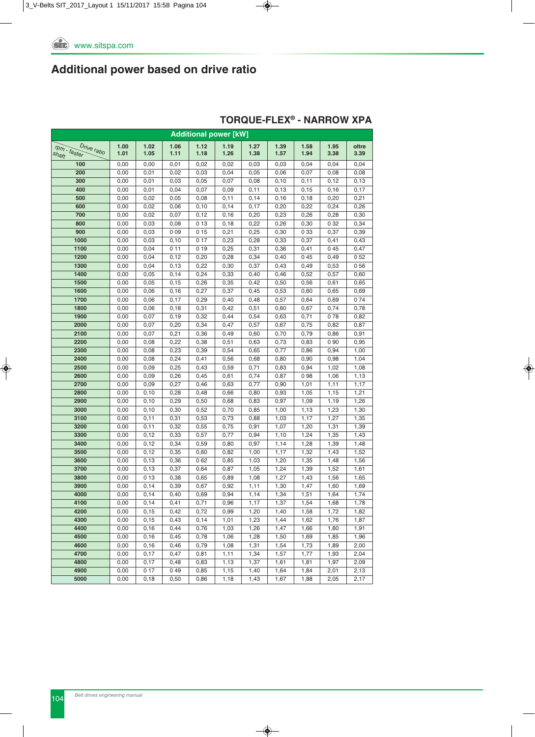|                          | <b>Additional power [kW]</b> |              |              |              |              |              |              |             |              |              |  |  |  |
|--------------------------|------------------------------|--------------|--------------|--------------|--------------|--------------|--------------|-------------|--------------|--------------|--|--|--|
| Drive ratio              | 1.00                         | 1.02         | 1.06         | 1.12         | 1.19         | 1.27         | 1.39         | 1.58        | 1.95         | oltre        |  |  |  |
| $r$ pm - faster<br>shaft | 1.01                         | 1.05         | 1.11         | 1.18         | 1.26         | 1.38         | 1.57         | 1.94        | 3.38         | 3.39         |  |  |  |
| 100                      | 0,00                         | 0,00         | 0,01         | 0,02         | 0,02         | 0,03         | 0,03         | 0,04        | 0,04         | 0,04         |  |  |  |
| 200                      | 0,00                         | 0,01         | 0,02         | 0,03         | 0,04         | 0,05         | 0,06         | 0,07        | 0,08         | 0,08         |  |  |  |
| 300                      | 0,00                         | 0,01         | 0,03         | 0,05         | 0,07         | 0,08         | 0, 10        | 0,11        | 0,12         | 0,13         |  |  |  |
| 400                      | 0,00                         | 0,01         | 0,04         | 0,07         | 0,09         | 0,11         | 0, 13        | 0, 15       | 0,16         | 0,17         |  |  |  |
| 500                      | 0,00                         | 0,02         | 0,05         | 0,08         | 0,11         | 0,14         | 0, 16        | 0,18        | 0,20         | 0,21         |  |  |  |
| 600                      | 0,00                         | 0,02         | 0,06         | 0,10         | 0,14         | 0,17         | 0,20         | 0,22        | 0,24         | 0,26         |  |  |  |
| 700                      | 0,00                         | 0,02         | 0,07         | 0,12         | 0,16         | 0,20         | 0,23         | 0,26        | 0,28         | 0,30         |  |  |  |
| 800                      | 0,00                         | 0,03         | 0,08         | 013          | 0,18         | 0,22         | 0,26         | 0,30        | 0 32         | 0,34         |  |  |  |
| 900                      | 0,00                         | 0,03         | 009          | 015          | 0,21         | 0,25         | 0,30         | 033         | 0,37         | 0,39         |  |  |  |
| 1000                     | 0,00                         | 0,03         | 0, 10        | 017          | 0,23         | 0,28         | 0,33         | 0,37        | 0,41         | 0,43         |  |  |  |
| 1100                     | 0,00                         | 0,04         | 011          | 019          | 0,25         | 0,31         | 0,36         | 0,41        | 045          | 0,47         |  |  |  |
| 1200                     | 0,00                         | 0,04         | 0,12         | 0,20         | 0,28         | 0,34         | 0,40         | 045         | 0,49         | 052          |  |  |  |
| 1300                     | 0,00                         | 0,04         | 0, 13        | 0,22         | 0,30         | 0,37         | 0,43         | 0,49        | 0,53         | 056          |  |  |  |
| 1400                     | 0,00                         | 0,05         | 0,14         | 0,24         | 0,33         | 0,40         | 0,46         | 0,52        | 0,57         | 0,60         |  |  |  |
| 1500                     | 0,00                         | 0,05         | 0, 15        | 0,26         | 0,35         | 0,42         | 0,50         | 0,56        | 0,61         | 0,65         |  |  |  |
| 1600                     | 0,00                         | 0,06         | 0, 16        | 0,27         | 0,37         | 0,45         | 0,53         | 0,60        | 0,65         | 0,69         |  |  |  |
| 1700                     | 0,00                         | 0,06         | 0,17         | 0,29         | 0,40         | 0,48         | 0,57         | 0,64        | 0,69         | 074          |  |  |  |
| 1800                     | 0,00                         | 0,06         | 0, 18        | 0,31         | 0,42         | 0,51         | 0,60         | 0,67        | 0,74         | 0,78         |  |  |  |
| 1900                     | 0,00                         | 0,07         | 0,19         | 0,32         | 0,44         | 0,54         | 0,63         | 0,71        | 078          | 0,82         |  |  |  |
| 2000                     | 0,00                         | 0,07         | 0,20         | 0,34         | 0,47         | 0,57         | 0,67         | 0,75        | 0,82         | 0,87         |  |  |  |
| 2100                     | 0,00                         | 0,07         | 0,21         | 0,36         | 0,49         | 0,60         | 0,70         | 0,79        | 0,86         | 0,91         |  |  |  |
| 2200                     | 0,00                         | 0,08         | 0,22         | 0,38         | 0,51         | 0,63         | 0,73         | 0,83        | 0 9 0        | 0,95         |  |  |  |
| 2300                     | 0,00                         | 0,08         | 0,23         | 0,39         | 0,54         | 0,65         | 0,77         | 0,86        | 0,94         | 1,00         |  |  |  |
| 2400                     | 0,00                         | 0,08         | 0,24         | 0,41         | 0,56         | 0,68         | 0,80         | 0,90        | 0,98         | 1,04         |  |  |  |
| 2500                     | 0,00                         | 0,09         | 0,25         | 0,43         | 0,59         | 0,71         | 0,83         | 0,94        | 1,02         | 1,08         |  |  |  |
| 2600<br>2700             | 0,00<br>0,00                 | 0,09<br>0,09 | 0,26<br>0,27 | 0,45<br>0,46 | 0,61<br>0,63 | 0,74<br>0,77 | 0,87<br>0,90 | 098<br>1,01 | 1,06<br>1,11 | 1,13<br>1,17 |  |  |  |
| 2800                     | 0,00                         | 0, 10        | 0,28         | 0,48         | 0,66         | 0,80         | 0,93         | 1,05        | 1,15         | 1,21         |  |  |  |
| 2900                     | 0,00                         | 0, 10        | 0,29         | 0,50         | 0,68         | 0,83         | 0,97         | 1,09        | 1,19         | 1,26         |  |  |  |
| 3000                     | 0,00                         | 0, 10        | 0,30         | 0,52         | 0,70         | 0,85         | 1,00         | 1,13        | 1,23         | 1,30         |  |  |  |
| 3100                     | 0,00                         | 0,11         | 0,31         | 0,53         | 0,73         | 0,88         | 1,03         | 1,17        | 1,27         | 1,35         |  |  |  |
| 3200                     | 0,00                         | 0,11         | 0,32         | 0,55         | 0,75         | 0,91         | 1,07         | 1,20        | 1,31         | 1,39         |  |  |  |
| 3300                     | 0,00                         | 0,12         | 0,33         | 0,57         | 0,77         | 0,94         | 1,10         | 1,24        | 1,35         | 1,43         |  |  |  |
| 3400                     | 0,00                         | 0,12         | 0,34         | 0,59         | 0,80         | 0,97         | 1,14         | 1,28        | 1,39         | 1,48         |  |  |  |
| 3500                     | 0,00                         | 0,12         | 0,35         | 0,60         | 0,82         | 1,00         | 1,17         | 1,32        | 1,43         | 1,52         |  |  |  |
| 3600                     | 0,00                         | 0, 13        | 0,36         | 062          | 0,85         | 1,03         | 1,20         | 1,35        | 1,48         | 1,56         |  |  |  |
| 3700                     | 0,00                         | 0, 13        | 0,37         | 0,64         | 0,87         | 1,05         | 1,24         | 1,39        | 1,52         | 1,61         |  |  |  |
| 3800                     | 0,00                         | 013          | 0,38         | 0,65         | 0,89         | 1,08         | 1,27         | 1,43        | 1,56         | 1,65         |  |  |  |
| 3900                     | 0,00                         | 0,14         | 0,39         | 0,67         | 0,92         | 1,11         | 1,30         | 1,47        | 1,60         | 1,69         |  |  |  |
| 4000                     | 0,00                         | 0,14         | 0,40         | 0,69         | 0,94         | 1,14         | 1,34         | 1,51        | 1,64         | 1,74         |  |  |  |
| 4100                     | 0,00                         | 0,14         | 0,41         | 0,71         | 0,96         | 1,17         | 1,37         | 1,54        | 1,68         | 1,78         |  |  |  |
| 4200                     | 0,00                         | 0, 15        | 0,42         | 0,72         | 0,99         | 1,20         | 1,40         | 1,58        | 1,72         | 1,82         |  |  |  |
| 4300                     | 0,00                         | 0, 15        | 0,43         | 0,14         | 1,01         | 1,23         | 1,44         | 1,62        | 1,76         | 1,87         |  |  |  |
| 4400                     | 0,00                         | 0, 16        | 0,44         | 0,76         | 1,03         | 1,26         | 1,47         | 1,66        | 1,80         | 1,91         |  |  |  |
| 4500                     | 0,00                         | 0, 16        | 0,45         | 0,78         | 1,06         | 1,28         | 1,50         | 1,69        | 1,85         | 1,96         |  |  |  |
| 4600                     | 0,00                         | 0, 16        | 0,46         | 0,79         | 1,08         | 1,31         | 1,54         | 1,73        | 1,89         | 2,00         |  |  |  |
| 4700                     | 0,00                         | 0,17         | 0,47         | 0,81         | 1,11         | 1,34         | 1,57         | 1,77        | 1,93         | 2,04         |  |  |  |
| 4800                     | 0,00                         | 0,17         | 0,48         | 0,83         | 1,13         | 1,37         | 1,61         | 1,81        | 1,97         | 2,09         |  |  |  |
| 4900                     | 0,00                         | 0 17         | 049          | 0,85         | 1,15         | 1,40         | 1,64         | 1,84        | 2,01         | 2,13         |  |  |  |
| 5000                     | 0,00                         | 0, 18        | 0,50         | 0,86         | 1,18         | 1,43         | 1,67         | 1,88        | 2,05         | 2,17         |  |  |  |

### **TORqUE-FLEX® - NARROW XPA**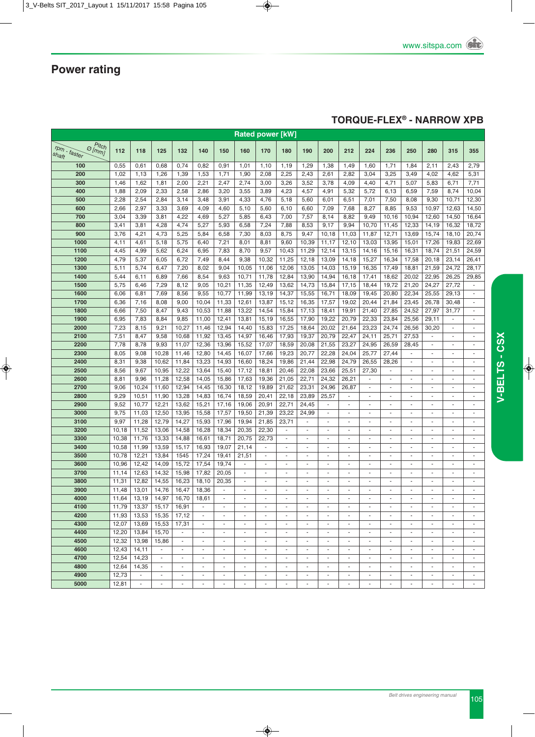### **TORqUE-FLEX® - NARROW XPB**

| <b>Rated power [kW]</b>                        |                |                          |                          |                                                      |                                                      |                                    |                                                      |                                                      |                                                      |                                           |                               |                               |                                                      |                                |                                                      |                                    |                                                      |                               |
|------------------------------------------------|----------------|--------------------------|--------------------------|------------------------------------------------------|------------------------------------------------------|------------------------------------|------------------------------------------------------|------------------------------------------------------|------------------------------------------------------|-------------------------------------------|-------------------------------|-------------------------------|------------------------------------------------------|--------------------------------|------------------------------------------------------|------------------------------------|------------------------------------------------------|-------------------------------|
| Pitch                                          |                |                          |                          |                                                      |                                                      |                                    |                                                      |                                                      |                                                      |                                           |                               |                               |                                                      |                                |                                                      |                                    |                                                      |                               |
| $\mathcal{O}(m m)$<br>$r$ pm - faster<br>shaft | 112            | 118                      | 125                      | 132                                                  | 140                                                  | 150                                | 160                                                  | 170                                                  | 180                                                  | 190                                       | 200                           | 212                           | 224                                                  | 236                            | 250                                                  | 280                                | 315                                                  | 355                           |
| 100                                            | 0,55           | 0,61                     | 0,68                     | 0,74                                                 | 0,82                                                 | 0,91                               | 1,01                                                 | 1,10                                                 | 1,19                                                 | 1,29                                      | 1,38                          | 1,49                          | 1,60                                                 | 1,71                           | 1,84                                                 | 2,11                               | 2,43                                                 | 2,79                          |
| 200                                            | 1,02           | 1,13                     | 1,26                     | 1,39                                                 | 1,53                                                 | 1,71                               | 1,90                                                 | 2,08                                                 | 2,25                                                 | 2,43                                      | 2,61                          | 2,82                          | 3,04                                                 | 3,25                           | 3,49                                                 | 4,02                               | 4,62                                                 | 5,31                          |
| 300                                            | 1,46           | 1,62                     | 1,81                     | 2,00                                                 | 2,21                                                 | 2,47                               | 2,74                                                 | 3,00                                                 | 3,26                                                 | 3,52                                      | 3,78                          | 4,09                          | 4,40                                                 | 4,71                           | 5,07                                                 | 5,83                               | 6,71                                                 | 7,71                          |
| 400                                            | 1,88           | 2,09                     | 2,33                     | 2,58                                                 | 2,86                                                 | 3,20                               | 3,55                                                 | 3,89                                                 | 4,23                                                 | 4,57                                      | 4,91                          | 5,32                          | 5,72                                                 | 6,13                           | 6,59                                                 | 7,59                               | 8,74                                                 | 10,04                         |
| 500                                            | 2,28           | 2,54                     | 2,84                     | 3,14                                                 | 3,48                                                 | 3,91                               | 4,33                                                 | 4,76                                                 | 5,18                                                 | 5,60                                      | 6,01                          | 6,51                          | 7,01                                                 | 7,50                           | 8,08                                                 | 9,30                               | 10,71                                                | 12,30                         |
| 600                                            | 2,66           | 2,97                     | 3,33                     | 3,69                                                 | 4,09                                                 | 4,60                               | 5,10                                                 | 5,60                                                 | 6, 10                                                | 6,60                                      | 7,09                          | 7,68                          | 8,27                                                 | 8,85                           | 9,53                                                 | 10,97                              | 12,63                                                | 14,50                         |
| 700                                            | 3,04           | 3,39                     | 3,81                     | 4,22                                                 | 4,69                                                 | 5,27                               | 5,85                                                 | 6,43                                                 | 7,00                                                 | 7,57                                      | 8,14                          | 8,82                          | 9,49                                                 | 10,16                          | 10,94                                                | 12,60                              | 14,50                                                | 16,64                         |
| 800                                            | 3,41           | 3,81                     | 4,28                     | 4,74                                                 | 5,27                                                 | 5,93                               | 6,58                                                 | 7,24                                                 | 7,88                                                 | 8,53                                      | 9,17                          | 9,94                          | 10,70                                                | 11,45                          | 12,33                                                | 14,19                              | 16,32                                                | 18,72                         |
| 900                                            | 3,76           | 4,21                     | 4,73                     | 5,25                                                 | 5,84                                                 | 6,58                               | 7,30                                                 | 8,03                                                 | 8,75                                                 | 9,47                                      | 10,18                         | 11,03                         | 11,87                                                | 12,71                          | 13,69                                                | 15,74                              | 18,10                                                | 20,74                         |
| 1000                                           | 4,11           | 4,61                     | 5,18                     | 5,75                                                 | 6,40                                                 | 7,21                               | 8,01                                                 | 8,81                                                 | 9,60                                                 | 10,39                                     | 11,17                         | 12,10                         | 13,03                                                | 13,95                          | 15,01                                                | 17,26                              | 19,83                                                | 22,69                         |
| 1100                                           | 4,45           | 4,99                     | 5,62                     | 6,24                                                 | 6,95                                                 | 7,83                               | 8,70                                                 | 9,57                                                 | 10,43                                                | 11,29                                     | 12,14                         | 13,15                         | 14,16                                                | 15,16                          | 16,31                                                | 18,74                              | 21,51                                                | 24,59                         |
| 1200                                           | 4,79           | 5,37                     | 6,05                     | 6,72                                                 | 7,49                                                 | 8,44                               | 9,38                                                 | 10,32                                                | 11,25                                                | 12,18                                     | 13,09                         | 14,18                         | 15,27                                                | 16,34                          | 17,58                                                | 20,18                              | 23,14                                                | 26,41                         |
| 1300                                           | 5,11           | 5,74                     | 6,47                     | 7,20                                                 | 8,02                                                 | 9,04                               | 10,05                                                | 11,06                                                | 12,06                                                | 13,05                                     | 14,03                         | 15,19                         | 16,35                                                | 17,49                          | 18,81                                                | 21,59                              | 24,72                                                | 28,17                         |
| 1400                                           | 5,44           | 6,11                     | 6,89                     | 7,66                                                 | 8,54                                                 | 9,63                               | 10,71                                                | 11,78                                                | 12,84                                                | 13,90                                     | 14,94                         | 16,18                         | 17,41                                                | 18,62                          | 20,02                                                | 22,95                              | 26,25                                                | 29,85                         |
| 1500                                           | 5,75           | 6,46                     | 7,29                     | 8,12                                                 | 9,05                                                 | 10,21                              | 11,35                                                | 12,49                                                | 13,62                                                | 14,73                                     | 15,84                         | 17,15                         | 18,44                                                | 19,72                          | 21,20                                                | 24,27                              | 27,72                                                |                               |
| 1600                                           | 6,06           | 6,81                     | 7,69                     | 8,56                                                 | 9,55                                                 | 10,77                              | 11,99                                                | 13,19                                                | 14,37                                                | 15,55                                     | 16,71                         | 18,09                         | 19,45                                                | 20,80                          | 22,34                                                | 25,55                              | 29,13                                                | $\blacksquare$                |
| 1700                                           | 6,36           | 7,16                     | 8,08                     | 9,00                                                 | 10,04                                                | 11,33                              | 12,61                                                | 13,87                                                | 15,12                                                | 16,35                                     | 17,57                         | 19,02                         | 20,44                                                | 21,84                          | 23,45                                                | 26,78                              | 30,48                                                | ÷,                            |
| 1800                                           | 6,66           | 7,50                     | 8,47                     | 9,43                                                 | 10,53                                                | 11,88                              | 13,22                                                | 14,54                                                | 15,84                                                | 17,13                                     | 18,41                         | 19,91                         | 21,40                                                | 27,85                          | 24,52                                                | 27,97                              | 31,77                                                | ÷,                            |
| 1900                                           | 6,95           | 7,83                     | 8,84                     | 9,85                                                 | 11,00                                                | 12,41                              | 13,81                                                | 15,19                                                | 16,55                                                | 17,90                                     | 19,22                         | 20,79                         | 22,33                                                | 23,84                          | 25,56                                                | 29,11                              |                                                      | ÷,                            |
| 2000                                           | 7,23           | 8,15                     | 9,21                     | 10,27                                                | 11,46                                                | 12,94                              | 14,40                                                | 15,83                                                | 17,25                                                | 18,64                                     | 20,02                         | 21,64                         | 23,23                                                | 24,74                          | 26,56                                                | 30,20                              | ÷.                                                   | ÷.                            |
| 2100                                           | 7,51           | 8,47                     | 9,58                     | 10,68                                                | 11,92                                                | 13,45                              | 14,97                                                | 16,46                                                | 17,93                                                | 19,37                                     | 20,79                         | 22,47                         | 24,11                                                | 25,71                          | 27,53                                                |                                    | $\blacksquare$                                       | ÷,                            |
| 2200                                           | 7,78           | 8,78                     | 9,93                     | 11,07                                                | 12,36                                                | 13,96                              | 15,52                                                | 17,07                                                | 18,59                                                | 20,08                                     | 21,55                         | 23,27                         | 24,95                                                | 26,59                          | 28,45                                                | $\sim$                             | $\sim$                                               | ÷,                            |
| 2300                                           | 8,05           | 9,08                     | 10,28                    | 11,46                                                | 12,80                                                | 14,45                              | 16,07                                                | 17,66                                                | 19,23                                                | 20,77                                     | 22,28                         | 24,04                         | 25,77                                                | 27,44                          | $\blacksquare$                                       | $\sim$                             | $\sim$                                               | ä,                            |
| 2400                                           | 8,31           | 9,38                     | 10,62                    | 11,84                                                | 13,23                                                | 14,93                              | 16,60                                                | 18,24                                                | 19,86                                                | 21,44                                     | 22,98                         | 24,79                         | 26,55                                                | 28,26                          | $\blacksquare$                                       | $\sim$                             | $\blacksquare$                                       | ÷.                            |
| 2500                                           | 8,56           | 9,67                     | 10,95                    | 12,22                                                | 13,64                                                | 15,40                              | 17,12                                                | 18,81                                                | 20,46                                                | 22,08                                     | 23,66                         | 25,51                         | 27,30                                                | ä,                             |                                                      |                                    | $\overline{\phantom{a}}$                             | $\overline{\phantom{m}}$      |
| 2600                                           | 8,81           | 9,96                     | 11,28                    | 12,58                                                | 14,05                                                | 15,86                              | 17,63                                                | 19,36                                                | 21,05                                                | 22,71                                     | 24,32                         | 26,21                         | ÷.                                                   | $\omega$                       | $\sim$                                               | $\overline{a}$                     | $\overline{a}$                                       | $\overline{\phantom{a}}$      |
| 2700                                           | 9,06           | 10,24                    | 11,60                    | 12,94                                                | 14,45                                                | 16,30                              | 18,12                                                | 19,89                                                | 21,62                                                | 23,31                                     | 24,96                         | 26,87                         | $\sim$                                               | ä,                             |                                                      |                                    | ä,                                                   | ä,                            |
| 2800                                           | 9,29           | 10,51                    | 11,90                    | 13,28                                                | 14,83                                                | 16,74                              | 18,59                                                | 20,41                                                | 22,18                                                | 23,89                                     | 25,57                         | ٠                             | $\overline{\phantom{a}}$                             | $\overline{\phantom{a}}$       | $\overline{\phantom{a}}$                             | $\overline{\phantom{a}}$           | $\overline{\phantom{a}}$                             | $\overline{\phantom{a}}$      |
| 2900                                           | 9,52           | 10,77                    | 12,21                    | 13,62                                                | 15,21                                                | 17,16                              | 19,06                                                | 20,91                                                | 22,71                                                | 24,45                                     |                               | $\sim$                        | $\sim$                                               | $\overline{\phantom{a}}$       | ٠                                                    |                                    | $\sim$                                               | $\overline{\phantom{a}}$      |
| 3000                                           | 9,75           | 11,03                    | 12,50                    | 13,95                                                | 15,58                                                | 17,57                              | 19,50                                                | 21,39                                                | 23,22                                                | 24,99                                     | ä,                            | $\sim$                        | $\sim$                                               | ä,                             | $\sim$                                               | ÷,                                 | $\sim$                                               | $\overline{a}$                |
| 3100                                           | 9,97           | 11,28                    | 12,79                    | 14,27                                                | 15,93                                                | 17,96                              | 19,94                                                | 21,85                                                | 23,71                                                | ÷,                                        | $\overline{a}$                | $\overline{a}$                | $\overline{\phantom{a}}$                             | ÷,                             |                                                      | ÷,                                 | $\blacksquare$                                       | ÷,                            |
| 3200                                           | 10,18          | 11,52                    | 13,06                    | 14,58                                                | 16,28                                                | 18,34                              | 20,35                                                | 22,30                                                | $\overline{\phantom{a}}$                             | ÷,                                        | $\overline{a}$                | $\overline{\phantom{a}}$      | $\overline{\phantom{a}}$                             | ÷,                             | $\overline{a}$                                       | $\overline{\phantom{a}}$           | $\overline{\phantom{a}}$                             | ÷,                            |
| 3300                                           | 10,38          | 11,76                    | 13,33                    | 14,88                                                | 16,61                                                | 18,71                              | 20,75                                                | 22,73                                                | $\sim$                                               | ä,                                        | ä,                            | $\sim$                        | ÷,                                                   | ä,                             | ٠                                                    | ä,                                 | ä,                                                   | ÷,                            |
| 3400                                           | 10,58          | 11,99                    | 13,59                    | 15,17                                                | 16,93                                                | 19,07                              | 21,14                                                |                                                      |                                                      |                                           |                               |                               |                                                      | ÷,                             | $\overline{a}$                                       |                                    |                                                      |                               |
| 3500                                           | 10,78          | 12,21                    | 13,84                    | 1545                                                 | 17,24                                                | 19,41                              | 21,51                                                | $\blacksquare$                                       | $\overline{\phantom{a}}$                             | ÷.                                        | $\blacksquare$                | $\overline{\phantom{a}}$      | $\sim$                                               | ÷,                             | $\overline{\phantom{a}}$                             | $\overline{\phantom{a}}$           | $\overline{\phantom{a}}$                             | $\overline{\phantom{a}}$      |
| 3600                                           | 10,96          | 12,42                    | 14,09                    | 15,72                                                | 17,54                                                | 19,74                              | $\blacksquare$                                       | $\overline{\phantom{a}}$                             | $\sim$                                               | $\overline{\phantom{a}}$                  | $\overline{a}$                | $\overline{\phantom{a}}$      | $\sim$                                               | ÷,                             | $\sim$                                               | $\sim$                             | $\overline{\phantom{a}}$                             | ÷,                            |
| 3700                                           | 11,14          | 12,63                    | 14,32                    | 15,98                                                | 17,82                                                | 20,05                              | $\overline{\phantom{a}}$                             | $\overline{\phantom{a}}$                             | $\sim$                                               | $\overline{a}$                            | $\sim$                        | $\overline{a}$                | $\overline{\phantom{a}}$                             | $\frac{1}{2}$                  | $\sim$                                               | ÷                                  | $\overline{\phantom{a}}$                             | $\overline{\phantom{m}}$      |
| 3800                                           | 11,31          | 12,82                    | 14,55                    | 16,23                                                | 18,10                                                | 20,35                              | $\overline{\phantom{a}}$                             | $\overline{\phantom{a}}$                             | $\overline{\phantom{a}}$                             | $\overline{a}$<br>L.                      | $\sim$                        |                               | $\sim$                                               | $\frac{1}{2}$<br>÷.            | $\overline{\phantom{a}}$                             | $\sim$                             | $\blacksquare$                                       | $\overline{a}$<br>ä,          |
| 3900                                           | 11,48          | 13,01                    | 14,76                    | 16,47                                                | 18,36                                                |                                    |                                                      | $\omega$                                             |                                                      |                                           |                               |                               |                                                      |                                | $\sim$                                               |                                    | $\omega$                                             |                               |
| 4000                                           | 11,64          | 13,19                    | 14,97                    | 16,70                                                | 18,61<br>÷                                           | $\sim$                             | $\overline{\phantom{a}}$                             | ٠<br>$\sim$                                          | $\sim$                                               | $\sim$                                    | ٠<br>$\sim$                   |                               | $\sim$                                               | ٠<br>$\sim$                    | ٠<br>$\sim$                                          |                                    |                                                      |                               |
| 4100<br>4200                                   | 11,79          | 13,37                    | 15,17                    | 16,91                                                | $\blacksquare$                                       | ÷.                                 | $\sim$                                               |                                                      | ÷                                                    | ÷.                                        | ×.                            | ×.                            | ×.                                                   | ×.                             | $\sim$                                               | ×.                                 | ÷.                                                   | ٠<br>÷.                       |
|                                                | 11,93<br>12,07 | 13,53                    | 15,35                    | 17,12                                                |                                                      |                                    | $\sim$                                               | $\overline{\phantom{a}}$<br>$\sim$                   |                                                      | $\overline{\phantom{a}}$                  |                               |                               | $\sim$                                               | $\sim$                         |                                                      |                                    | $\sim$                                               |                               |
| 4300                                           |                | 13,69                    | 15,53                    | 17,31<br>$\blacksquare$                              | $\blacksquare$                                       | $\sim$<br>$\overline{\phantom{a}}$ |                                                      |                                                      | $\sim$                                               |                                           | $\overline{\phantom{a}}$<br>٠ | ٠                             | $\overline{\phantom{a}}$                             |                                | $\overline{\phantom{a}}$                             | $\sim$                             |                                                      | $\overline{\phantom{a}}$      |
| 4400                                           | 12,20          | 13,84                    | 15,70                    |                                                      | $\overline{\phantom{a}}$<br>٠                        | $\sim$                             | $\sim$<br>$\sim$                                     | $\overline{\phantom{a}}$<br>$\sim$                   | $\overline{\phantom{a}}$<br>×.                       | $\sim$                                    | $\sim$                        | $\overline{\phantom{a}}$      | $\sim$                                               | $\overline{\phantom{a}}$<br>×. | ×.                                                   | $\overline{\phantom{a}}$<br>$\sim$ | $\overline{\phantom{a}}$<br>$\sim$                   | $\overline{\phantom{a}}$<br>٠ |
| 4500<br>4600                                   | 12,32<br>12,43 | 13,98<br>14,11           | 15,86<br>$\sim$          | $\sim$<br>$\overline{\phantom{a}}$                   | $\overline{\phantom{a}}$                             | $\overline{\phantom{a}}$           | $\overline{\phantom{a}}$                             | $\overline{\phantom{a}}$                             | $\overline{\phantom{a}}$                             | $\overline{\phantom{a}}$                  |                               | ٠<br>$\overline{\phantom{a}}$ | $\overline{\phantom{a}}$                             | $\overline{\phantom{a}}$       | $\overline{\phantom{a}}$                             |                                    | $\overline{\phantom{a}}$                             | $\overline{a}$                |
| 4700                                           | 12,54          | 14,23                    | $\sim$                   |                                                      |                                                      | $\overline{\phantom{a}}$           |                                                      |                                                      |                                                      |                                           | $\overline{\phantom{a}}$      |                               |                                                      | $\overline{\phantom{a}}$       |                                                      | $\overline{\phantom{a}}$           |                                                      | $\overline{\phantom{a}}$      |
| 4800                                           | 12,64          | 14,35                    |                          | $\overline{\phantom{a}}$<br>$\overline{\phantom{a}}$ | $\overline{\phantom{a}}$<br>$\overline{\phantom{a}}$ | $\overline{\phantom{a}}$           | $\overline{\phantom{a}}$<br>$\overline{\phantom{a}}$ | $\overline{\phantom{a}}$<br>$\overline{\phantom{a}}$ | $\overline{\phantom{a}}$<br>$\overline{\phantom{a}}$ | $\overline{\phantom{a}}$<br>$\frac{1}{2}$ |                               | $\overline{\phantom{a}}$      | $\overline{\phantom{a}}$<br>$\overline{\phantom{a}}$ | ÷,                             | $\overline{\phantom{a}}$<br>$\overline{\phantom{a}}$ |                                    | $\overline{\phantom{a}}$<br>$\overline{\phantom{a}}$ | ÷,                            |
| 4900                                           | 12,73          | $\blacksquare$           | $\overline{\phantom{a}}$ | $\overline{\phantom{a}}$                             | $\overline{\phantom{a}}$                             |                                    | $\overline{\phantom{a}}$                             | $\overline{\phantom{a}}$                             | $\overline{\phantom{a}}$                             |                                           |                               |                               | $\overline{\phantom{a}}$                             | $\blacksquare$                 | $\overline{\phantom{a}}$                             |                                    |                                                      |                               |
| 5000                                           | 12,81          | $\overline{\phantom{a}}$ | $\blacksquare$           | $\overline{\phantom{a}}$                             | $\blacksquare$                                       | $\overline{\phantom{a}}$           | $\overline{\phantom{a}}$                             | $\overline{\phantom{a}}$                             | $\overline{\phantom{a}}$                             | $\overline{\phantom{a}}$                  | $\overline{\phantom{m}}$      | $\overline{\phantom{a}}$      | $\overline{\phantom{a}}$                             | $\overline{\phantom{a}}$       | $\overline{\phantom{a}}$                             | $\overline{\phantom{a}}$           | $\overline{\phantom{a}}$                             | $\overline{\phantom{a}}$      |
|                                                |                |                          |                          |                                                      |                                                      |                                    |                                                      |                                                      |                                                      |                                           |                               |                               |                                                      |                                |                                                      |                                    |                                                      |                               |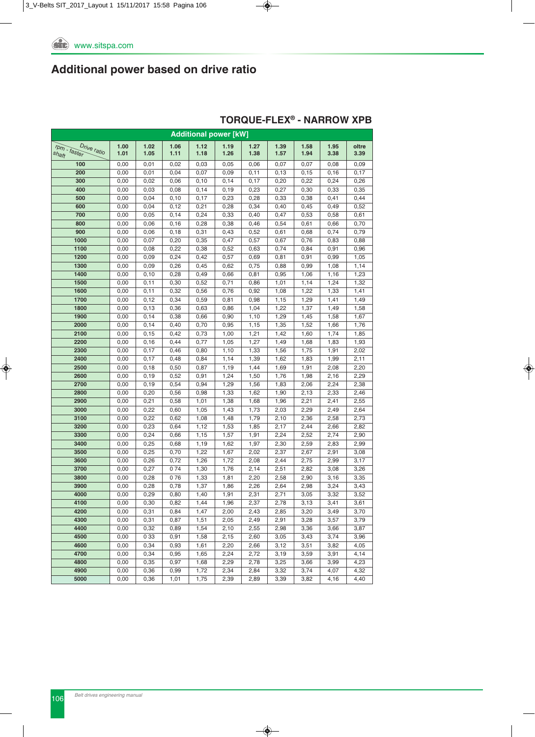| <b>Additional power [kW]</b> |              |               |              |              |              |              |              |              |              |              |  |  |  |
|------------------------------|--------------|---------------|--------------|--------------|--------------|--------------|--------------|--------------|--------------|--------------|--|--|--|
| Drive ratio                  | 1.00         | 1.02          | 1.06         | 1.12         | 1.19         | 1.27         | 1.39         | 1.58         | 1.95         | oltre        |  |  |  |
| rpm - faster<br>shaft        | 1.01         | 1.05          | 1.11         | 1.18         | 1.26         | 1.38         | 1.57         | 1.94         | 3.38         | 3.39         |  |  |  |
| 100                          | 0,00         | 0,01          | 0,02         | 0,03         | 0,05         | 0,06         | 0,07         | 0,07         | 0,08         | 0,09         |  |  |  |
| 200                          | 0,00         | 0,01          | 0,04         | 0,07         | 0,09         | 0,11         | 0, 13        | 0,15         | 0, 16        | 0,17         |  |  |  |
| 300                          | 0,00         | 0,02          | 0,06         | 0,10         | 0,14         | 0,17         | 0,20         | 0,22         | 0,24         | 0,26         |  |  |  |
| 400                          | 0,00         | 0,03          | 0,08         | 0,14         | 0,19         | 0,23         | 0,27         | 0,30         | 0,33         | 0,35         |  |  |  |
| 500                          | 0,00         | 0,04          | 0,10         | 0,17         | 0,23         | 0,28         | 0,33         | 0,38         | 0,41         | 0,44         |  |  |  |
| 600                          | 0,00         | 0,04          | 0,12         | 0,21         | 0,28         | 0,34         | 0,40         | 0,45         | 0,49         | 0,52         |  |  |  |
| 700                          | 0,00         | 0,05          | 0,14         | 0,24         | 0,33         | 0,40         | 0,47         | 0,53         | 0,58         | 0,61         |  |  |  |
| 800                          | 0,00         | 0,06          | 0, 16        | 0,28         | 0,38         | 0,46         | 0,54         | 0,61         | 0,66         | 0,70         |  |  |  |
| 900                          | 0,00         | 0,06          | 0, 18        | 0,31         | 0,43         | 0,52         | 0,61         | 0,68         | 0,74         | 0,79         |  |  |  |
| 1000                         | 0,00         | 0,07          | 0,20         | 0,35         | 0,47         | 0,57         | 0,67         | 0,76         | 0,83         | 0,88         |  |  |  |
| 1100                         | 0,00         | 0,08          | 0,22         | 0,38         | 0,52         | 0,63         | 0,74         | 0,84         | 0,91         | 0,96         |  |  |  |
| 1200                         | 0,00         | 0,09          | 0,24         | 0,42         | 0,57         | 0,69         | 0,81         | 0,91         | 0,99         | 1,05         |  |  |  |
| 1300                         | 0,00         | 0,09          | 0,26         | 0,45         | 0,62         | 0,75         | 0,88         | 0,99         | 1,08         | 1,14         |  |  |  |
| 1400                         | 0,00         | 0, 10         | 0,28         | 0,49         | 0,66         | 0,81         | 0,95         | 1,06         | 1,16         | 1,23         |  |  |  |
| 1500                         | 0,00         | 0,11          | 0,30         | 0,52         | 0,71         | 0,86         | 1,01         | 1,14         | 1,24         | 1,32         |  |  |  |
| 1600                         | 0,00         | 0,11          | 0,32         | 0,56         | 0,76         | 0,92         | 1,08         | 1,22         | 1,33         | 1,41         |  |  |  |
| 1700                         | 0,00         | 0,12          | 0,34         | 0,59         | 0,81         | 0,98         | 1,15         | 1,29         | 1,41         | 1,49         |  |  |  |
| 1800                         | 0,00         | 0, 13         | 0,36         | 0,63         | 0,86         | 1,04         | 1,22         | 1,37         | 1,49         | 1,58         |  |  |  |
| 1900                         | 0,00         | 0,14          | 0,38         | 0,66         | 0,90         | 1,10         | 1,29         | 1,45         | 1,58         | 1,67         |  |  |  |
| 2000<br>2100                 | 0,00<br>0,00 | 0,14<br>0, 15 | 0,40<br>0,42 | 0,70<br>0,73 | 0,95<br>1,00 | 1,15<br>1,21 | 1,35         | 1,52         | 1,66<br>1,74 | 1,76         |  |  |  |
| 2200                         | 0,00         | 0, 16         | 0,44         | 0,77         | 1,05         | 1,27         | 1,42<br>1,49 | 1,60         | 1,83         | 1,85<br>1,93 |  |  |  |
| 2300                         | 0,00         | 0,17          | 0,46         | 0,80         | 1,10         | 1,33         | 1,56         | 1,68<br>1,75 | 1,91         | 2,02         |  |  |  |
| 2400                         | 0,00         | 0,17          | 0,48         | 0,84         | 1,14         | 1,39         | 1,62         | 1,83         | 1,99         | 2,11         |  |  |  |
| 2500                         | 0,00         | 0, 18         | 0,50         | 0,87         | 1,19         | 1,44         | 1,69         | 1,91         | 2,08         | 2,20         |  |  |  |
| 2600                         | 0,00         | 0, 19         | 0,52         | 0,91         | 1,24         | 1,50         | 1,76         | 1,98         | 2,16         | 2,29         |  |  |  |
| 2700                         | 0,00         | 0, 19         | 0,54         | 0,94         | 1,29         | 1,56         | 1,83         | 2,06         | 2,24         | 2,38         |  |  |  |
| 2800                         | 0,00         | 0,20          | 0,56         | 0,98         | 1,33         | 1,62         | 1,90         | 2,13         | 2,33         | 2,46         |  |  |  |
| 2900                         | 0,00         | 0,21          | 0,58         | 1,01         | 1,38         | 1,68         | 1,96         | 2,21         | 2,41         | 2,55         |  |  |  |
| 3000                         | 0,00         | 0,22          | 0,60         | 1,05         | 1,43         | 1,73         | 2,03         | 2,29         | 2,49         | 2,64         |  |  |  |
| 3100                         | 0,00         | 0,22          | 0,62         | 1,08         | 1,48         | 1,79         | 2,10         | 2,36         | 2,58         | 2,73         |  |  |  |
| 3200                         | 0,00         | 0,23          | 0,64         | 1,12         | 1,53         | 1,85         | 2,17         | 2,44         | 2,66         | 2,82         |  |  |  |
| 3300                         | 0,00         | 0,24          | 0,66         | 1,15         | 1,57         | 1,91         | 2,24         | 2,52         | 2,74         | 2,90         |  |  |  |
| 3400                         | 0,00         | 0,25          | 0,68         | 1,19         | 1,62         | 1,97         | 2,30         | 2,59         | 2,83         | 2,99         |  |  |  |
| 3500                         | 0,00         | 0,25          | 0,70         | 1,22         | 1,67         | 2,02         | 2,37         | 2,67         | 2,91         | 3,08         |  |  |  |
| 3600                         | 0,00         | 0,26          | 0,72         | 1,26         | 1,72         | 2,08         | 2,44         | 2,75         | 2,99         | 3,17         |  |  |  |
| 3700                         | 0,00         | 0,27          | 074          | 1,30         | 1,76         | 2,14         | 2,51         | 2,82         | 3,08         | 3,26         |  |  |  |
| 3800                         | 0,00         | 0,28          | 076          | 1,33         | 1,81         | 2,20         | 2,58         | 2,90         | 3,16         | 3,35         |  |  |  |
| 3900                         | 0,00         | 0,28          | 0,78         | 1,37         | 1,86         | 2,26         | 2,64         | 2,98         | 3,24         | 3,43         |  |  |  |
| 4000                         | 0,00         | 0,29          | 0,80         | 1,40         | 1,91         | 2,31         | 2,71         | 3,05         | 3,32         | 3,52         |  |  |  |
| 4100                         | 0,00         | 0,30          | 0,82         | 1,44         | 1,96         | 2,37         | 2,78         | 3,13         | 3,41         | 3,61         |  |  |  |
| 4200                         | 0,00         | 0,31          | 0,84         | 1,47         | 2,00         | 2,43         | 2,85         | 3,20         | 3,49         | 3,70         |  |  |  |
| 4300                         | 0,00         | 0,31          | 0,87         | 1,51         | 2,05         | 2,49         | 2,91         | 3,28         | 3,57         | 3,79         |  |  |  |
| 4400                         | 0,00         | 0,32          | 0,89         | 1,54         | 2,10         | 2,55         | 2,98         | 3,36         | 3,66         | 3,87         |  |  |  |
| 4500                         | 0,00         | 0 3 3         | 0,91         | 1,58         | 2,15         | 2,60         | 3,05         | 3,43         | 3,74         | 3,96         |  |  |  |
| 4600                         | 0,00         | 0,34          | 0,93         | 1,61         | 2,20         | 2,66         | 3,12         | 3,51         | 3,82         | 4,05         |  |  |  |
| 4700                         | 0,00         | 0,34          | 0,95         | 1,65         | 2,24         | 2,72         | 3,19         | 3,59         | 3,91         | 4,14         |  |  |  |
| 4800                         | 0,00         | 0,35          | 0,97         | 1,68         | 2,29         | 2,78         | 3,25         | 3,66         | 3,99         | 4,23         |  |  |  |
| 4900                         | 0,00         | 0,36          | 0,99         | 1,72         | 2,34         | 2,84         | 3,32         | 3,74         | 4,07         | 4,32         |  |  |  |
| 5000                         | 0,00         | 0,36          | 1,01         | 1,75         | 2,39         | 2,89         | 3,39         | 3,82         | 4,16         | 4,40         |  |  |  |

### **TORqUE-FLEX® - NARROW XPB**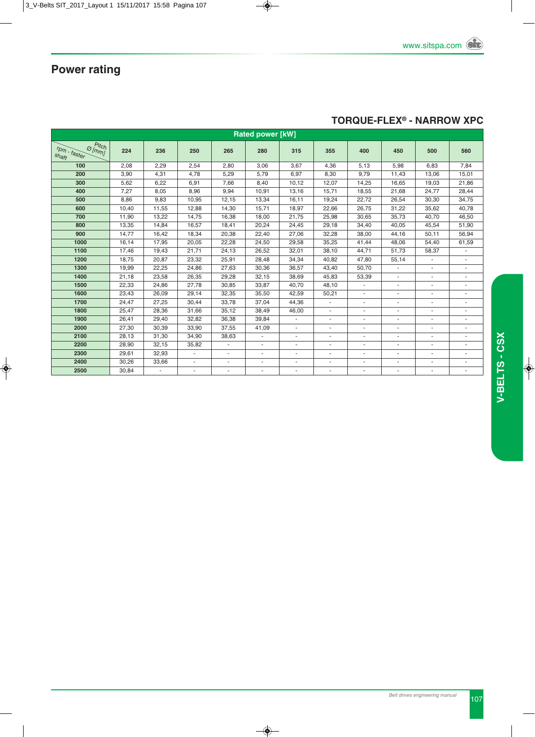

#### **TORqUE-FLEX® - NARROW XPC**

| <b>Rated power [kW]</b>                                              |       |       |                          |        |        |                |        |                |                |                |                          |  |
|----------------------------------------------------------------------|-------|-------|--------------------------|--------|--------|----------------|--------|----------------|----------------|----------------|--------------------------|--|
| Pitch <sup>'</sup><br>$\mathcal{O}[m m]$<br>$r$ pm - faster<br>shaft | 224   | 236   | 250                      | 265    | 280    | 315            | 355    | 400            | 450            | 500            | 560                      |  |
| 100                                                                  | 2,08  | 2,29  | 2,54                     | 2,80   | 3,06   | 3,67           | 4,36   | 5,13           | 5,98           | 6,83           | 7,84                     |  |
| 200                                                                  | 3,90  | 4,31  | 4,78                     | 5,29   | 5,79   | 6,97           | 8,30   | 9,79           | 11,43          | 13,06          | 15,01                    |  |
| 300                                                                  | 5,62  | 6,22  | 6,91                     | 7,66   | 8,40   | 10,12          | 12,07  | 14,25          | 16,65          | 19,03          | 21,86                    |  |
| 400                                                                  | 7,27  | 8,05  | 8,96                     | 9,94   | 10,91  | 13,16          | 15.71  | 18,55          | 21.68          | 24.77          | 28,44                    |  |
| 500                                                                  | 8,86  | 9,83  | 10,95                    | 12,15  | 13,34  | 16,11          | 19,24  | 22,72          | 26,54          | 30,30          | 34,75                    |  |
| 600                                                                  | 10,40 | 11,55 | 12,88                    | 14,30  | 15,71  | 18.97          | 22,66  | 26.75          | 31,22          | 35,62          | 40,78                    |  |
| 700                                                                  | 11,90 | 13,22 | 14,75                    | 16,38  | 18,00  | 21,75          | 25,98  | 30,65          | 35,73          | 40,70          | 46,50                    |  |
| 800                                                                  | 13,35 | 14,84 | 16,57                    | 18,41  | 20,24  | 24,45          | 29,18  | 34,40          | 40,05          | 45,54          | 51,90                    |  |
| 900                                                                  | 14,77 | 16.42 | 18,34                    | 20,38  | 22,40  | 27,06          | 32,28  | 38.00          | 44.16          | 50,11          | 56,94                    |  |
| 1000                                                                 | 16,14 | 17,95 | 20,05                    | 22,28  | 24,50  | 29,58          | 35,25  | 41,44          | 48,06          | 54,40          | 61,59                    |  |
| 1100                                                                 | 17,46 | 19,43 | 21,71                    | 24,13  | 26,52  | 32,01          | 38,10  | 44,71          | 51,73          | 58,37          |                          |  |
| 1200                                                                 | 18,75 | 20,87 | 23,32                    | 25,91  | 28,48  | 34,34          | 40,82  | 47,80          | 55,14          | ÷.             | ÷.                       |  |
| 1300                                                                 | 19,99 | 22,25 | 24,86                    | 27,63  | 30,36  | 36,57          | 43,40  | 50,70          | $\sim$         | $\blacksquare$ | $\overline{\phantom{m}}$ |  |
| 1400                                                                 | 21,18 | 23,58 | 26,35                    | 29,28  | 32,15  | 38,69          | 45,83  | 53,39          |                |                |                          |  |
| 1500                                                                 | 22,33 | 24,86 | 27,78                    | 30,85  | 33,87  | 40,70          | 48,10  | $\sim$         | ٠              | $\sim$         | $\sim$                   |  |
| 1600                                                                 | 23,43 | 26,09 | 29,14                    | 32,35  | 35,50  | 42,59          | 50,21  |                |                |                |                          |  |
| 1700                                                                 | 24,47 | 27,25 | 30,44                    | 33,78  | 37,04  | 44.36          | $\sim$ | $\overline{a}$ | ٠              |                |                          |  |
| 1800                                                                 | 25,47 | 28,36 | 31,66                    | 35,12  | 38,49  | 46,00          | ٠      | ٠              |                |                |                          |  |
| 1900                                                                 | 26,41 | 29,40 | 32,82                    | 36,38  | 39,84  | $\blacksquare$ | ٠      | ٠              | ٠              | $\sim$         | ٠                        |  |
| 2000                                                                 | 27,30 | 30,39 | 33,90                    | 37,55  | 41,09  | ٠              | ٠      | ٠              | ٠              | $\blacksquare$ | ÷,                       |  |
| 2100                                                                 | 28,13 | 31,30 | 34,90                    | 38,63  | $\sim$ | ÷              |        | $\overline{a}$ | $\overline{a}$ |                |                          |  |
| 2200                                                                 | 28,90 | 32,15 | 35,82                    | ٠      | ٠      | ٠              | ٠      | $\blacksquare$ | ٠              |                |                          |  |
| 2300                                                                 | 29,61 | 32,93 | $\sim$                   | ٠      |        | ٠              |        |                |                |                |                          |  |
| 2400                                                                 | 30,26 | 33,66 | $\sim$                   | ٠      | ٠      | ٠              | $\sim$ | ٠              | ٠              | $\blacksquare$ | ٠                        |  |
| 2500                                                                 | 30,84 |       | $\overline{\phantom{a}}$ | $\sim$ | $\sim$ | ÷,             | ٠      | $\blacksquare$ | ٠              | $\overline{a}$ | ٠                        |  |